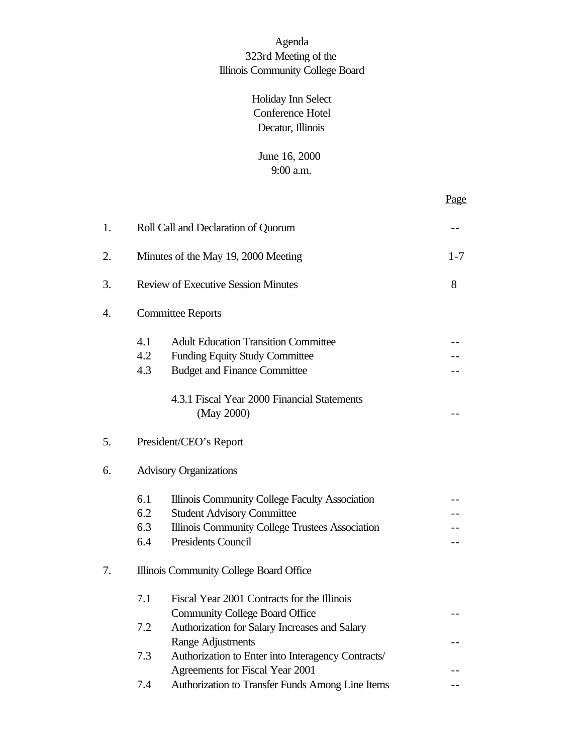# Agenda 323rd Meeting of the Illinois Community College Board

# Holiday Inn Select Conference Hotel Decatur, Illinois

## June 16, 2000 9:00 a.m.

|                  |     |                                                           | Page    |  |
|------------------|-----|-----------------------------------------------------------|---------|--|
| 1.               |     | Roll Call and Declaration of Quorum                       |         |  |
| 2.               |     | Minutes of the May 19, 2000 Meeting                       | $1 - 7$ |  |
| 3.               |     | <b>Review of Executive Session Minutes</b>                | 8       |  |
| $\overline{4}$ . |     | <b>Committee Reports</b>                                  |         |  |
|                  | 4.1 | <b>Adult Education Transition Committee</b>               |         |  |
|                  | 4.2 | <b>Funding Equity Study Committee</b>                     |         |  |
|                  | 4.3 | <b>Budget and Finance Committee</b>                       |         |  |
|                  |     | 4.3.1 Fiscal Year 2000 Financial Statements<br>(May 2000) |         |  |
| 5.               |     | President/CEO's Report                                    |         |  |
| 6.               |     | <b>Advisory Organizations</b>                             |         |  |
|                  | 6.1 | Illinois Community College Faculty Association            |         |  |
|                  | 6.2 | <b>Student Advisory Committee</b>                         |         |  |
|                  | 6.3 | Illinois Community College Trustees Association           |         |  |
|                  | 6.4 | <b>Presidents Council</b>                                 |         |  |
| 7.               |     | Illinois Community College Board Office                   |         |  |
|                  | 7.1 | Fiscal Year 2001 Contracts for the Illinois               |         |  |
|                  |     | <b>Community College Board Office</b>                     |         |  |
|                  | 7.2 | Authorization for Salary Increases and Salary             |         |  |
|                  |     | Range Adjustments                                         |         |  |
|                  | 7.3 | Authorization to Enter into Interagency Contracts/        |         |  |
|                  |     | Agreements for Fiscal Year 2001                           |         |  |
|                  | 7.4 | Authorization to Transfer Funds Among Line Items          |         |  |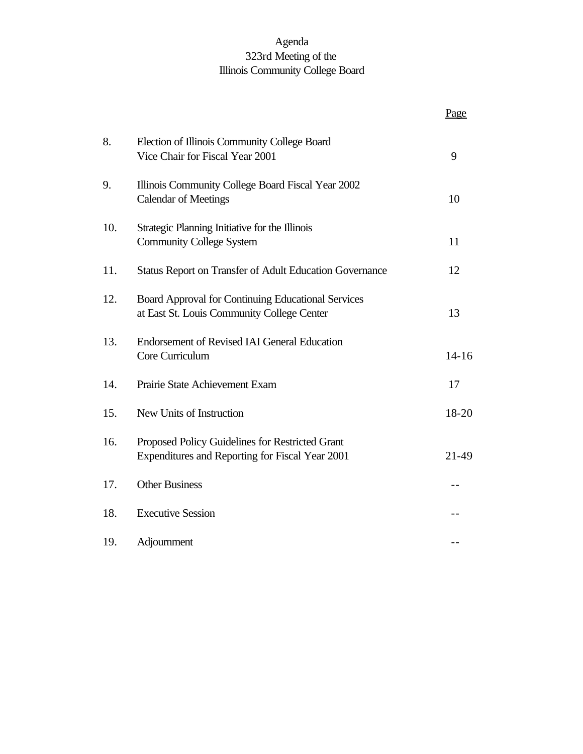# Agenda 323rd Meeting of the Illinois Community College Board

|     |                                                                                                    | Page      |
|-----|----------------------------------------------------------------------------------------------------|-----------|
| 8.  | Election of Illinois Community College Board<br>Vice Chair for Fiscal Year 2001                    | 9         |
| 9.  | Illinois Community College Board Fiscal Year 2002<br><b>Calendar of Meetings</b>                   | 10        |
| 10. | Strategic Planning Initiative for the Illinois<br><b>Community College System</b>                  | 11        |
| 11. | Status Report on Transfer of Adult Education Governance                                            | 12        |
| 12. | Board Approval for Continuing Educational Services<br>at East St. Louis Community College Center   | 13        |
| 13. | <b>Endorsement of Revised IAI General Education</b><br>Core Curriculum                             | $14 - 16$ |
| 14. | Prairie State Achievement Exam                                                                     | 17        |
| 15. | New Units of Instruction                                                                           | 18-20     |
| 16. | Proposed Policy Guidelines for Restricted Grant<br>Expenditures and Reporting for Fiscal Year 2001 | 21-49     |
| 17. | <b>Other Business</b>                                                                              |           |
| 18. | <b>Executive Session</b>                                                                           |           |
| 19. | Adjournment                                                                                        |           |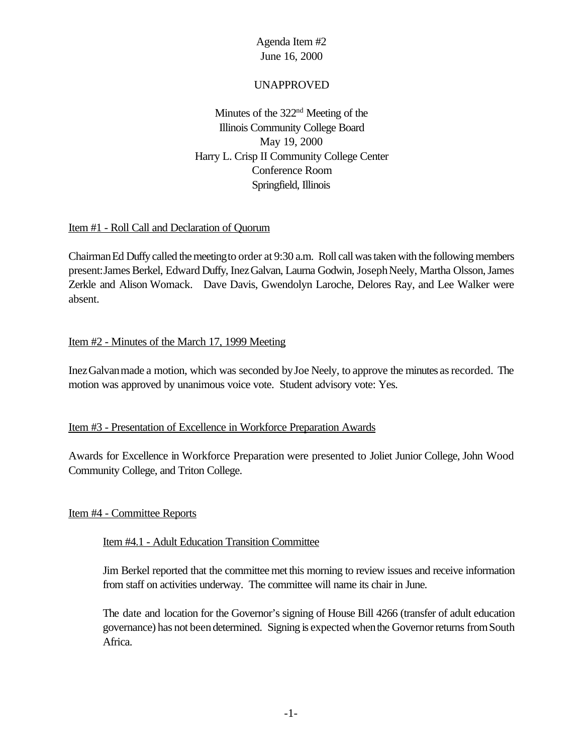#### UNAPPROVED

Minutes of the 322<sup>nd</sup> Meeting of the Illinois Community College Board May 19, 2000 Harry L. Crisp II Community College Center Conference Room Springfield, Illinois

#### Item #1 - Roll Call and Declaration of Quorum

Chairman Ed Duffy called the meeting to order at 9:30 a.m. Roll call was taken with the following members present: James Berkel, Edward Duffy, Inez Galvan, Laurna Godwin, Joseph Neely, Martha Olsson, James Zerkle and Alison Womack. Dave Davis, Gwendolyn Laroche, Delores Ray, and Lee Walker were absent.

## Item #2 - Minutes of the March 17, 1999 Meeting

InezGalvanmade a motion, which was seconded byJoe Neely, to approve the minutes asrecorded. The motion was approved by unanimous voice vote. Student advisory vote: Yes.

#### Item #3 - Presentation of Excellence in Workforce Preparation Awards

Awards for Excellence in Workforce Preparation were presented to Joliet Junior College, John Wood Community College, and Triton College.

#### Item #4 - Committee Reports

#### Item #4.1 - Adult Education Transition Committee

Jim Berkel reported that the committeemet this morning to review issues and receive information from staff on activities underway. The committee will name its chair in June.

The date and location for the Governor's signing of House Bill 4266 (transfer of adult education governance) has not been determined. Signing is expected when the Governor returns from South Africa.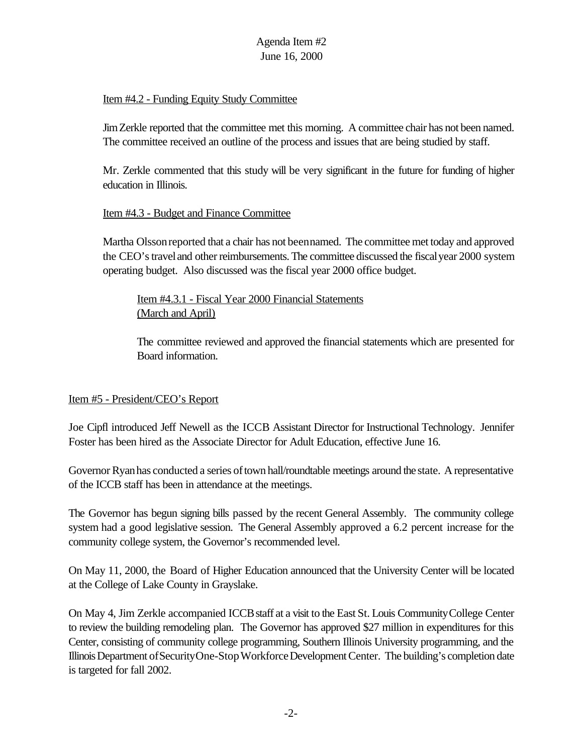### Item #4.2 - Funding Equity Study Committee

JimZerkle reported that the committee met this morning. A committee chair has not been named. The committee received an outline of the process and issues that are being studied by staff.

Mr. Zerkle commented that this study will be very significant in the future for funding of higher education in Illinois.

## Item #4.3 - Budget and Finance Committee

Martha Olssonreported that a chair has not beennamed. The committee met today and approved the CEO's travel and other reimbursements. The committee discussed the fiscal year 2000 system operating budget. Also discussed was the fiscal year 2000 office budget.

Item #4.3.1 - Fiscal Year 2000 Financial Statements (March and April)

The committee reviewed and approved the financial statements which are presented for Board information.

#### Item #5 - President/CEO's Report

Joe Cipfl introduced Jeff Newell as the ICCB Assistant Director for Instructional Technology. Jennifer Foster has been hired as the Associate Director for Adult Education, effective June 16.

Governor Ryan has conducted a series of town hall/roundtable meetings around the state. A representative of the ICCB staff has been in attendance at the meetings.

The Governor has begun signing bills passed by the recent General Assembly. The community college system had a good legislative session. The General Assembly approved a 6.2 percent increase for the community college system, the Governor's recommended level.

On May 11, 2000, the Board of Higher Education announced that the University Center will be located at the College of Lake County in Grayslake.

On May 4, Jim Zerkle accompanied ICCBstaff at a visit to the East St. Louis CommunityCollege Center to review the building remodeling plan. The Governor has approved \$27 million in expenditures for this Center, consisting of community college programming, Southern Illinois University programming, and the Illinois Department of Security One-Stop Workforce Development Center. The building's completion date is targeted for fall 2002.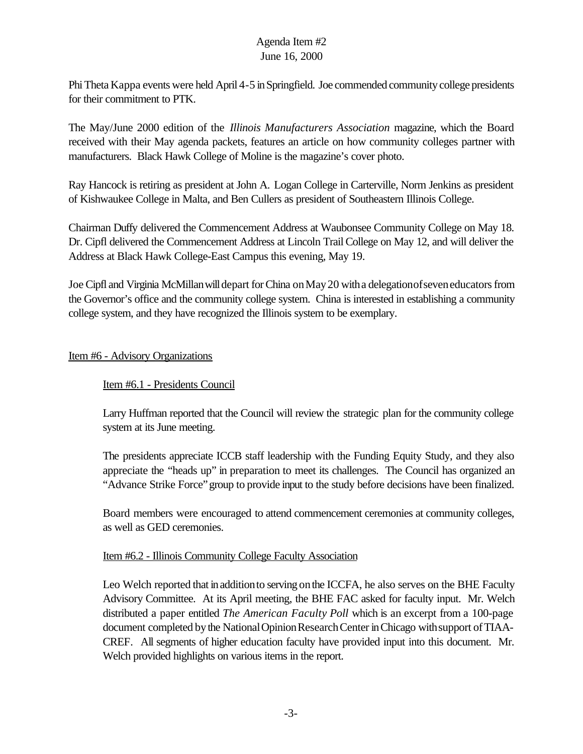PhiTheta Kappa events were held April 4-5 inSpringfield. Joe commended community college presidents for their commitment to PTK.

The May/June 2000 edition of the *Illinois Manufacturers Association* magazine, which the Board received with their May agenda packets, features an article on how community colleges partner with manufacturers. Black Hawk College of Moline is the magazine's cover photo.

Ray Hancock is retiring as president at John A. Logan College in Carterville, Norm Jenkins as president of Kishwaukee College in Malta, and Ben Cullers as president of Southeastern Illinois College.

Chairman Duffy delivered the Commencement Address at Waubonsee Community College on May 18. Dr. Cipfl delivered the Commencement Address at Lincoln Trail College on May 12, and will deliver the Address at Black Hawk College-East Campus this evening, May 19.

Joe Cipfl and Virginia McMillan will depart for China on May 20 with a delegation of seven educators from the Governor's office and the community college system. China is interested in establishing a community college system, and they have recognized the Illinois system to be exemplary.

## Item #6 - Advisory Organizations

## Item #6.1 - Presidents Council

Larry Huffman reported that the Council will review the strategic plan for the community college system at its June meeting.

The presidents appreciate ICCB staff leadership with the Funding Equity Study, and they also appreciate the "heads up" in preparation to meet its challenges. The Council has organized an "Advance Strike Force"group to provide input to the study before decisions have been finalized.

Board members were encouraged to attend commencement ceremonies at community colleges, as well as GED ceremonies.

#### Item #6.2 - Illinois Community College Faculty Association

Leo Welch reported that in addition to serving on the ICCFA, he also serves on the BHE Faculty Advisory Committee. At its April meeting, the BHE FAC asked for faculty input. Mr. Welch distributed a paper entitled *The American Faculty Poll* which is an excerpt from a 100-page document completed by the National Opinion Research Center in Chicago with support of TIAA-CREF*.* All segments of higher education faculty have provided input into this document. Mr. Welch provided highlights on various items in the report.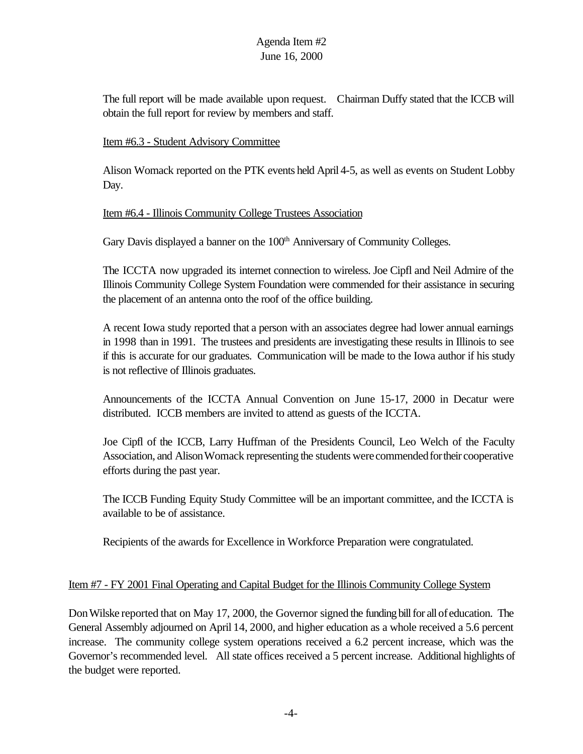The full report will be made available upon request.Chairman Duffy stated that the ICCB will obtain the full report for review by members and staff.

#### Item #6.3 - Student Advisory Committee

Alison Womack reported on the PTK events held April 4-5, as well as events on Student Lobby Day.

#### Item #6.4 - Illinois Community College Trustees Association

Gary Davis displayed a banner on the 100<sup>th</sup> Anniversary of Community Colleges.

The ICCTA now upgraded its internet connection to wireless. Joe Cipfl and Neil Admire of the Illinois Community College System Foundation were commended for their assistance in securing the placement of an antenna onto the roof of the office building.

A recent Iowa study reported that a person with an associates degree had lower annual earnings in 1998 than in 1991. The trustees and presidents are investigating these results in Illinois to see if this is accurate for our graduates. Communication will be made to the Iowa author if his study is not reflective of Illinois graduates.

Announcements of the ICCTA Annual Convention on June 15-17, 2000 in Decatur were distributed. ICCB members are invited to attend as guests of the ICCTA.

Joe Cipfl of the ICCB, Larry Huffman of the Presidents Council, Leo Welch of the Faculty Association, and AlisonWomack representing the students werecommendedfortheir cooperative efforts during the past year.

The ICCB Funding Equity Study Committee will be an important committee, and the ICCTA is available to be of assistance.

Recipients of the awards for Excellence in Workforce Preparation were congratulated.

#### Item #7 - FY 2001 Final Operating and Capital Budget for the Illinois Community College System

Don Wilske reported that on May 17, 2000, the Governor signed the funding bill for all of education. The General Assembly adjourned on April 14, 2000, and higher education as a whole received a 5.6 percent increase. The community college system operations received a 6.2 percent increase, which was the Governor's recommended level. All state offices received a 5 percent increase. Additional highlights of the budget were reported.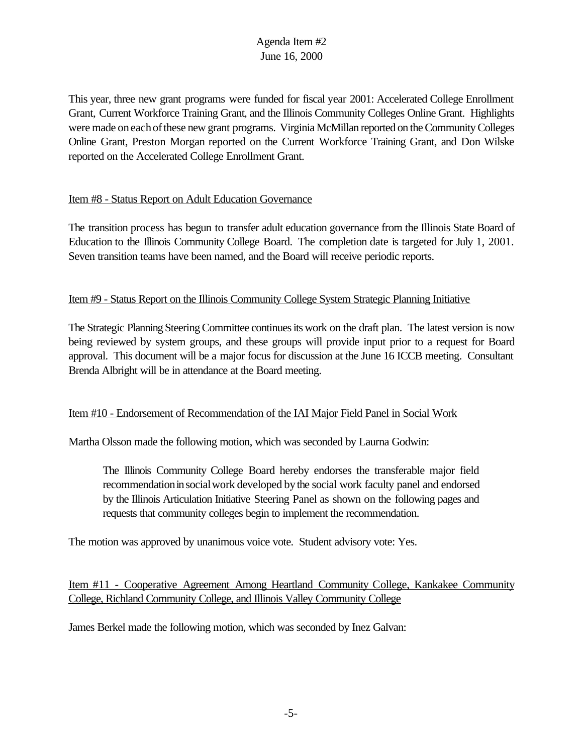This year, three new grant programs were funded for fiscal year 2001: Accelerated College Enrollment Grant, Current Workforce Training Grant, and the Illinois Community Colleges Online Grant. Highlights were made oneachofthese new grant programs. Virginia McMillan reported on the Community Colleges Online Grant, Preston Morgan reported on the Current Workforce Training Grant, and Don Wilske reported on the Accelerated College Enrollment Grant.

#### Item #8 - Status Report on Adult Education Governance

The transition process has begun to transfer adult education governance from the Illinois State Board of Education to the Illinois Community College Board. The completion date is targeted for July 1, 2001. Seven transition teams have been named, and the Board will receive periodic reports.

#### Item #9 - Status Report on the Illinois Community College System Strategic Planning Initiative

The Strategic Planning Steering Committee continues its work on the draft plan. The latest version is now being reviewed by system groups, and these groups will provide input prior to a request for Board approval. This document will be a major focus for discussion at the June 16 ICCB meeting. Consultant Brenda Albright will be in attendance at the Board meeting.

#### Item #10 - Endorsement of Recommendation of the IAI Major Field Panel in Social Work

Martha Olsson made the following motion, which was seconded by Laurna Godwin:

The Illinois Community College Board hereby endorses the transferable major field recommendationinsocialwork developed bythe social work faculty panel and endorsed by the Illinois Articulation Initiative Steering Panel as shown on the following pages and requests that community colleges begin to implement the recommendation.

The motion was approved by unanimous voice vote. Student advisory vote: Yes.

Item #11 - Cooperative Agreement Among Heartland Community College, Kankakee Community College, Richland Community College, and Illinois Valley Community College

James Berkel made the following motion, which was seconded by Inez Galvan: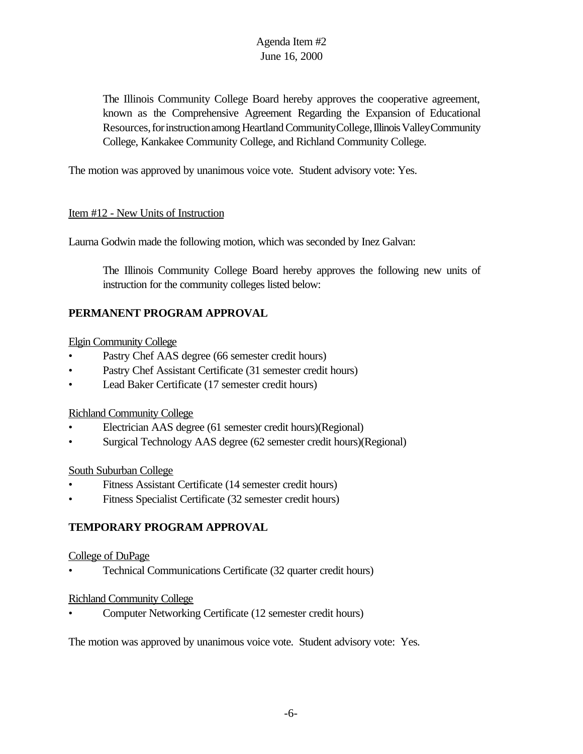The Illinois Community College Board hereby approves the cooperative agreement, known as the Comprehensive Agreement Regarding the Expansion of Educational Resources, for instruction among Heartland Community College, Illinois Valley Community College, Kankakee Community College, and Richland Community College.

The motion was approved by unanimous voice vote. Student advisory vote: Yes.

#### Item #12 - New Units of Instruction

Laurna Godwin made the following motion, which was seconded by Inez Galvan:

The Illinois Community College Board hereby approves the following new units of instruction for the community colleges listed below:

# **PERMANENT PROGRAM APPROVAL**

## Elgin Community College

- Pastry Chef AAS degree (66 semester credit hours)
- Pastry Chef Assistant Certificate (31 semester credit hours)
- Lead Baker Certificate (17 semester credit hours)

#### Richland Community College

- Electrician AAS degree (61 semester credit hours)(Regional)
- Surgical Technology AAS degree (62 semester credit hours)(Regional)

#### South Suburban College

- Fitness Assistant Certificate (14 semester credit hours)
- Fitness Specialist Certificate (32 semester credit hours)

# **TEMPORARY PROGRAM APPROVAL**

#### College of DuPage

• Technical Communications Certificate (32 quarter credit hours)

## Richland Community College

• Computer Networking Certificate (12 semester credit hours)

The motion was approved by unanimous voice vote. Student advisory vote: Yes.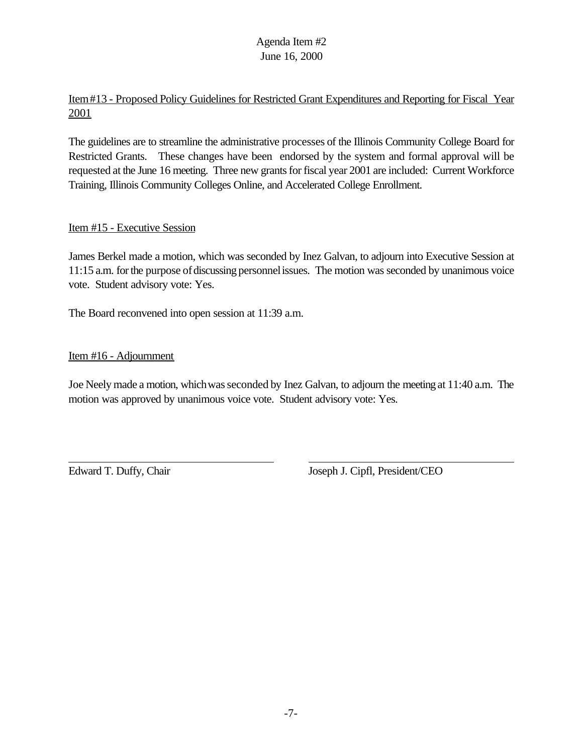Item#13 - Proposed Policy Guidelines for Restricted Grant Expenditures and Reporting for Fiscal Year 2001

The guidelines are to streamline the administrative processes of the Illinois Community College Board for Restricted Grants. These changes have been endorsed by the system and formal approval will be requested at the June 16 meeting. Three new grants for fiscal year 2001 are included: Current Workforce Training, Illinois Community Colleges Online, and Accelerated College Enrollment.

#### Item #15 - Executive Session

James Berkel made a motion, which was seconded by Inez Galvan, to adjourn into Executive Session at 11:15 a.m. for the purpose of discussing personnel issues. The motion was seconded by unanimous voice vote. Student advisory vote: Yes.

The Board reconvened into open session at 11:39 a.m.

Item #16 - Adjournment

Joe Neely made a motion, which was seconded by Inez Galvan, to adjourn the meeting at 11:40 a.m. The motion was approved by unanimous voice vote. Student advisory vote: Yes.

Edward T. Duffy, Chair Joseph J. Cipfl, President/CEO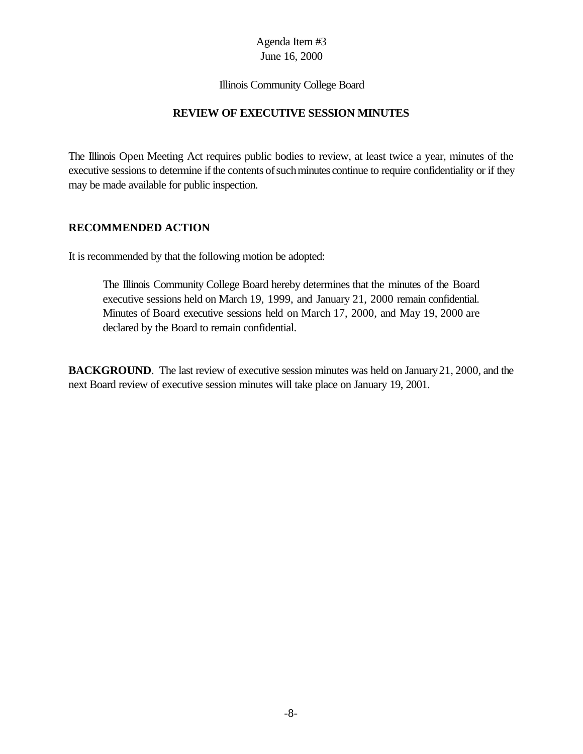#### Illinois Community College Board

#### **REVIEW OF EXECUTIVE SESSION MINUTES**

The Illinois Open Meeting Act requires public bodies to review, at least twice a year, minutes of the executive sessions to determine if the contents of such minutes continue to require confidentiality or if they may be made available for public inspection.

#### **RECOMMENDED ACTION**

It is recommended by that the following motion be adopted:

The Illinois Community College Board hereby determines that the minutes of the Board executive sessions held on March 19, 1999, and January 21, 2000 remain confidential. Minutes of Board executive sessions held on March 17, 2000, and May 19, 2000 are declared by the Board to remain confidential.

**BACKGROUND**. The last review of executive session minutes was held on January 21, 2000, and the next Board review of executive session minutes will take place on January 19, 2001.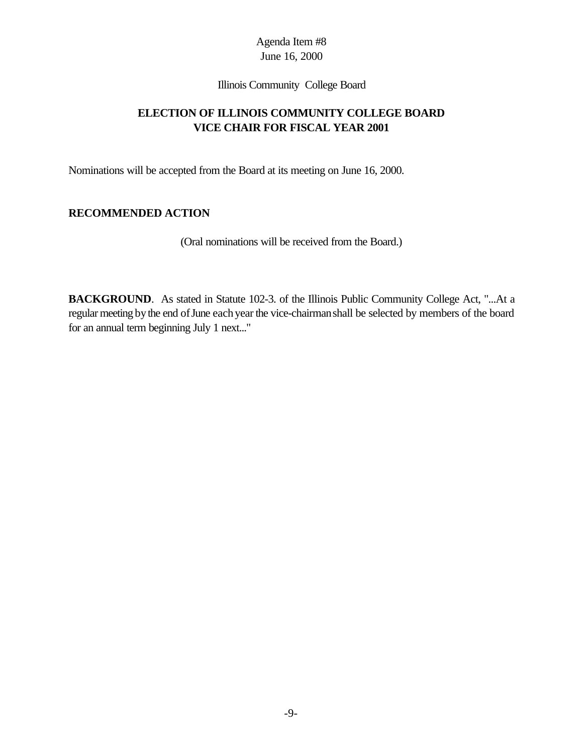Illinois Community College Board

## **ELECTION OF ILLINOIS COMMUNITY COLLEGE BOARD VICE CHAIR FOR FISCAL YEAR 2001**

Nominations will be accepted from the Board at its meeting on June 16, 2000.

## **RECOMMENDED ACTION**

(Oral nominations will be received from the Board.)

**BACKGROUND**. As stated in Statute 102-3. of the Illinois Public Community College Act, "...At a regular meeting by the end of June each year the vice-chairman shall be selected by members of the board for an annual term beginning July 1 next..."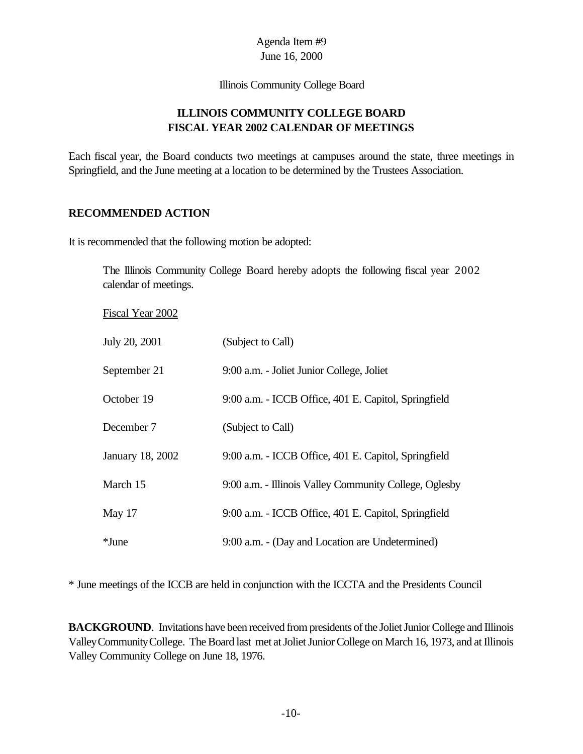Illinois Community College Board

## **ILLINOIS COMMUNITY COLLEGE BOARD FISCAL YEAR 2002 CALENDAR OF MEETINGS**

Each fiscal year, the Board conducts two meetings at campuses around the state, three meetings in Springfield, and the June meeting at a location to be determined by the Trustees Association.

#### **RECOMMENDED ACTION**

It is recommended that the following motion be adopted:

The Illinois Community College Board hereby adopts the following fiscal year 2002 calendar of meetings.

Fiscal Year 2002

| July 20, 2001    | (Subject to Call)                                      |
|------------------|--------------------------------------------------------|
| September 21     | 9:00 a.m. - Joliet Junior College, Joliet              |
| October 19       | 9:00 a.m. - ICCB Office, 401 E. Capitol, Springfield   |
| December 7       | (Subject to Call)                                      |
| January 18, 2002 | 9:00 a.m. - ICCB Office, 401 E. Capitol, Springfield   |
| March 15         | 9:00 a.m. - Illinois Valley Community College, Oglesby |
| May 17           | 9:00 a.m. - ICCB Office, 401 E. Capitol, Springfield   |
| $*$ June         | 9:00 a.m. - (Day and Location are Undetermined)        |

\* June meetings of the ICCB are held in conjunction with the ICCTA and the Presidents Council

**BACKGROUND**. Invitations have been received from presidents of the Joliet Junior College and Illinois ValleyCommunityCollege. The Board last met at Joliet Junior College on March 16, 1973, and at Illinois Valley Community College on June 18, 1976.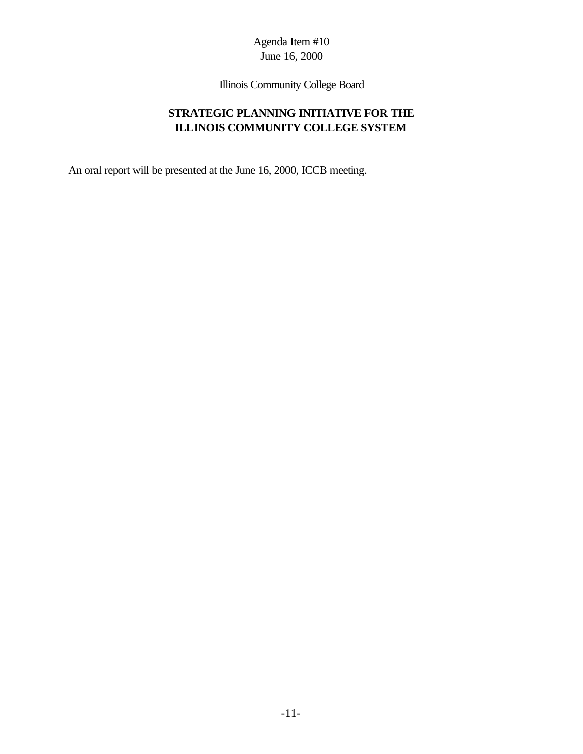Illinois Community College Board

# **STRATEGIC PLANNING INITIATIVE FOR THE ILLINOIS COMMUNITY COLLEGE SYSTEM**

An oral report will be presented at the June 16, 2000, ICCB meeting.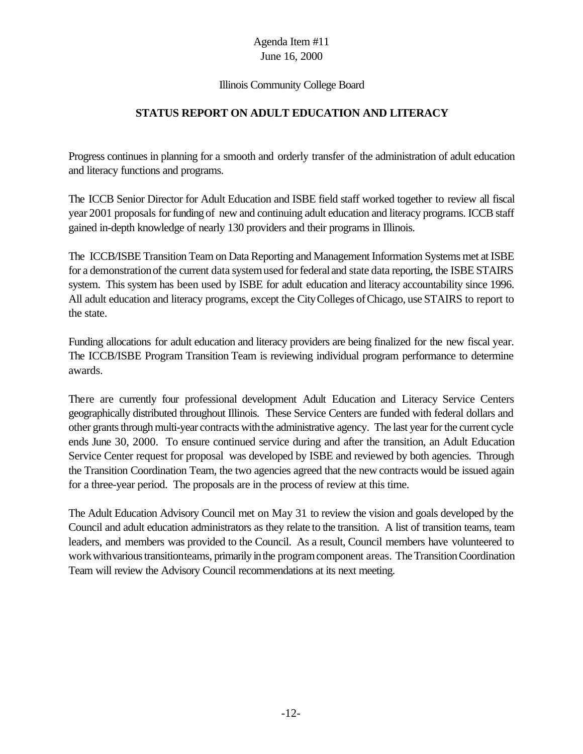#### Illinois Community College Board

## **STATUS REPORT ON ADULT EDUCATION AND LITERACY**

Progress continues in planning for a smooth and orderly transfer of the administration of adult education and literacy functions and programs.

The ICCB Senior Director for Adult Education and ISBE field staff worked together to review all fiscal year 2001 proposals forfunding of new and continuing adult education and literacy programs. ICCB staff gained in-depth knowledge of nearly 130 providers and their programs in Illinois.

The ICCB/ISBE Transition Team on Data Reporting and Management Information Systems met at ISBE for a demonstration of the current data system used for federal and state data reporting, the ISBE STAIRS system. This system has been used by ISBE for adult education and literacy accountability since 1996. All adult education and literacy programs, except the CityColleges ofChicago, use STAIRS to report to the state.

Funding allocations for adult education and literacy providers are being finalized for the new fiscal year. The ICCB/ISBE Program Transition Team is reviewing individual program performance to determine awards.

There are currently four professional development Adult Education and Literacy Service Centers geographically distributed throughout Illinois. These Service Centers are funded with federal dollars and other grants through multi-year contracts with the administrative agency. The last year for the current cycle ends June 30, 2000. To ensure continued service during and after the transition, an Adult Education Service Center request for proposal was developed by ISBE and reviewed by both agencies. Through the Transition Coordination Team, the two agencies agreed that the new contracts would be issued again for a three-year period. The proposals are in the process of review at this time.

The Adult Education Advisory Council met on May 31 to review the vision and goals developed by the Council and adult education administrators as they relate to the transition. A list of transition teams, team leaders, and members was provided to the Council. As a result, Council members have volunteered to work with various transitionteams, primarily in the program component areas. The Transition Coordination Team will review the Advisory Council recommendations at its next meeting.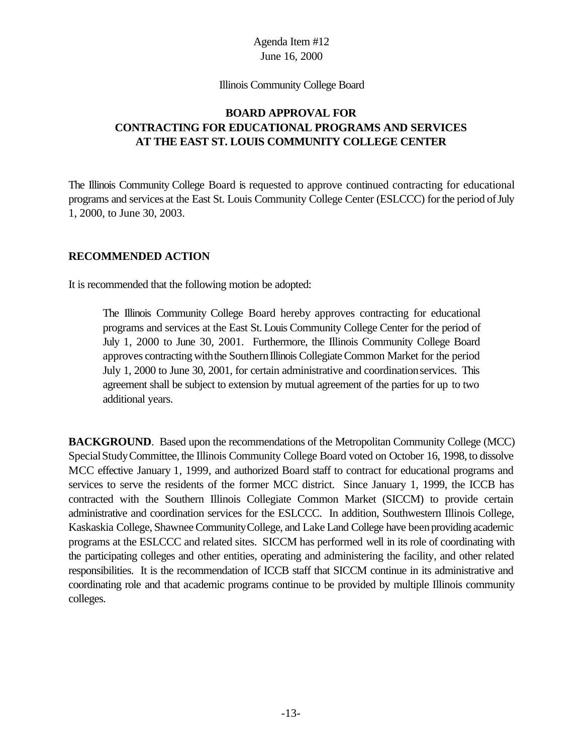Illinois Community College Board

## **BOARD APPROVAL FOR CONTRACTING FOR EDUCATIONAL PROGRAMS AND SERVICES AT THE EAST ST. LOUIS COMMUNITY COLLEGE CENTER**

The Illinois Community College Board is requested to approve continued contracting for educational programs and services at the East St. Louis Community College Center (ESLCCC) for the period of July 1, 2000, to June 30, 2003.

#### **RECOMMENDED ACTION**

It is recommended that the following motion be adopted:

The Illinois Community College Board hereby approves contracting for educational programs and services at the East St. Louis Community College Center for the period of July 1, 2000 to June 30, 2001. Furthermore, the Illinois Community College Board approves contracting with the Southern Illinois Collegiate Common Market for the period July 1, 2000 to June 30, 2001, for certain administrative and coordinationservices. This agreement shall be subject to extension by mutual agreement of the parties for up to two additional years.

**BACKGROUND.** Based upon the recommendations of the Metropolitan Community College (MCC) SpecialStudyCommittee, the Illinois Community College Board voted on October 16, 1998, to dissolve MCC effective January 1, 1999, and authorized Board staff to contract for educational programs and services to serve the residents of the former MCC district. Since January 1, 1999, the ICCB has contracted with the Southern Illinois Collegiate Common Market (SICCM) to provide certain administrative and coordination services for the ESLCCC. In addition, Southwestern Illinois College, Kaskaskia College, Shawnee Community College, and Lake Land College have been providing academic programs at the ESLCCC and related sites. SICCM has performed well in its role of coordinating with the participating colleges and other entities, operating and administering the facility, and other related responsibilities. It is the recommendation of ICCB staff that SICCM continue in its administrative and coordinating role and that academic programs continue to be provided by multiple Illinois community colleges.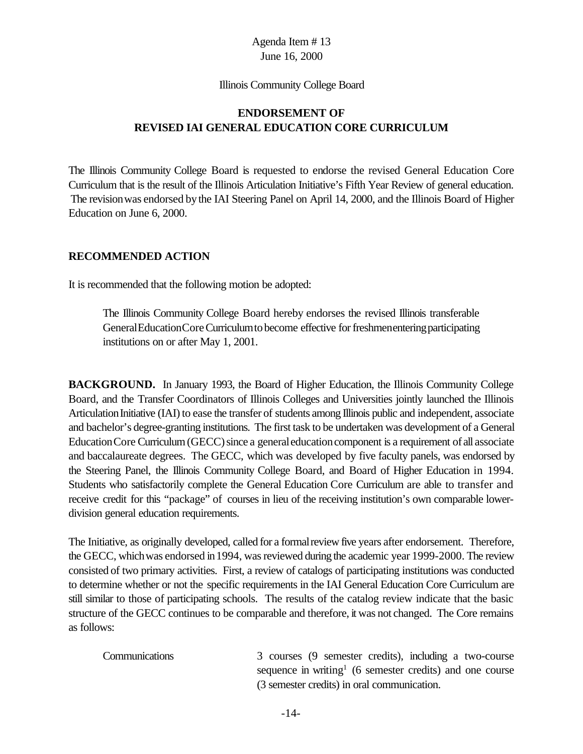#### Illinois Community College Board

## **ENDORSEMENT OF REVISED IAI GENERAL EDUCATION CORE CURRICULUM**

The Illinois Community College Board is requested to endorse the revised General Education Core Curriculum that is the result of the Illinois Articulation Initiative's Fifth Year Review of general education. The revisionwas endorsed bythe IAI Steering Panel on April 14, 2000, and the Illinois Board of Higher Education on June 6, 2000.

#### **RECOMMENDED ACTION**

It is recommended that the following motion be adopted:

The Illinois Community College Board hereby endorses the revised Illinois transferable GeneralEducationCoreCurriculumtobecome effective forfreshmenenteringparticipating institutions on or after May 1, 2001.

**BACKGROUND.** In January 1993, the Board of Higher Education, the Illinois Community College Board, and the Transfer Coordinators of Illinois Colleges and Universities jointly launched the Illinois Articulation Initiative (IAI) to ease the transfer of students among Illinois public and independent, associate and bachelor's degree-granting institutions. The first task to be undertaken was development of a General Education Core Curriculum (GECC) since a general education component is a requirement of all associate and baccalaureate degrees. The GECC, which was developed by five faculty panels, was endorsed by the Steering Panel, the Illinois Community College Board, and Board of Higher Education in 1994. Students who satisfactorily complete the General Education Core Curriculum are able to transfer and receive credit for this "package" of courses in lieu of the receiving institution's own comparable lowerdivision general education requirements.

The Initiative, as originally developed, called for a formalreview five years after endorsement. Therefore, the GECC, whichwas endorsed in1994, wasreviewed during the academic year 1999-2000. The review consisted of two primary activities. First, a review of catalogs of participating institutions was conducted to determine whether or not the specific requirements in the IAI General Education Core Curriculum are still similar to those of participating schools. The results of the catalog review indicate that the basic structure of the GECC continues to be comparable and therefore, it was not changed. The Core remains as follows:

Communications 3 courses (9 semester credits), including a two-course sequence in writing<sup>1</sup> (6 semester credits) and one course (3 semester credits) in oral communication.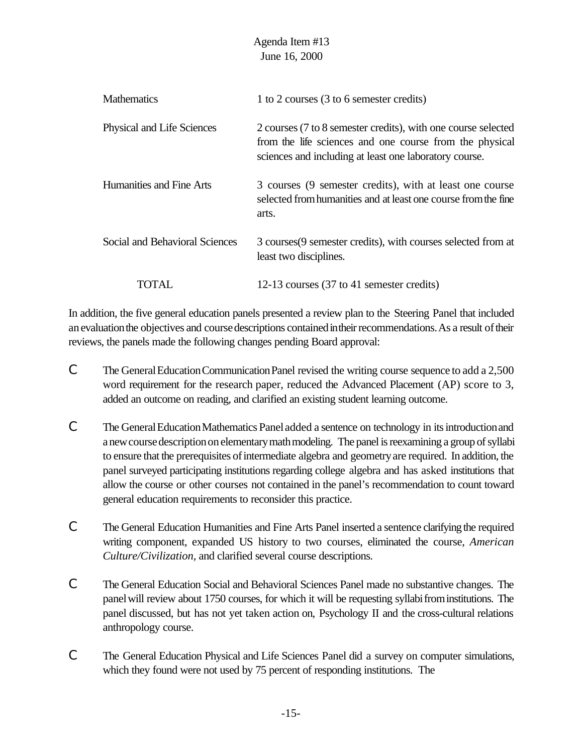|                                | Agenda Item #13<br>June 16, 2000                                                                                                                                                   |
|--------------------------------|------------------------------------------------------------------------------------------------------------------------------------------------------------------------------------|
| <b>Mathematics</b>             | 1 to 2 courses (3 to 6 semester credits)                                                                                                                                           |
| Physical and Life Sciences     | 2 courses (7 to 8 semester credits), with one course selected<br>from the life sciences and one course from the physical<br>sciences and including at least one laboratory course. |
| Humanities and Fine Arts       | 3 courses (9 semester credits), with at least one course<br>selected from humanities and at least one course from the fine<br>arts.                                                |
| Social and Behavioral Sciences | 3 courses (9 semester credits), with courses selected from at<br>least two disciplines.                                                                                            |
| TOTAL                          | 12-13 courses (37 to 41 semester credits)                                                                                                                                          |

In addition, the five general education panels presented a review plan to the Steering Panel that included an evaluation the objectives and course descriptions contained in their recommendations. As a result of their reviews, the panels made the following changes pending Board approval:

- C The General Education Communication Panel revised the writing course sequence to add a 2,500 word requirement for the research paper, reduced the Advanced Placement (AP) score to 3, added an outcome on reading, and clarified an existing student learning outcome.
- C The General Education Mathematics Panel added a sentence on technology in its introduction and a new course description on elementary math modeling. The panel is reexamining a group of syllabi to ensure that the prerequisites ofintermediate algebra and geometryare required. In addition, the panel surveyed participating institutions regarding college algebra and has asked institutions that allow the course or other courses not contained in the panel's recommendation to count toward general education requirements to reconsider this practice.
- C The General Education Humanities and Fine Arts Panel inserted a sentence clarifying the required writing component, expanded US history to two courses, eliminated the course, *American Culture/Civilization*, and clarified several course descriptions.
- C The General Education Social and Behavioral Sciences Panel made no substantive changes. The panel will review about 1750 courses, for which it will be requesting syllabifrom institutions. The panel discussed, but has not yet taken action on, Psychology II and the cross-cultural relations anthropology course.
- C The General Education Physical and Life Sciences Panel did a survey on computer simulations, which they found were not used by 75 percent of responding institutions. The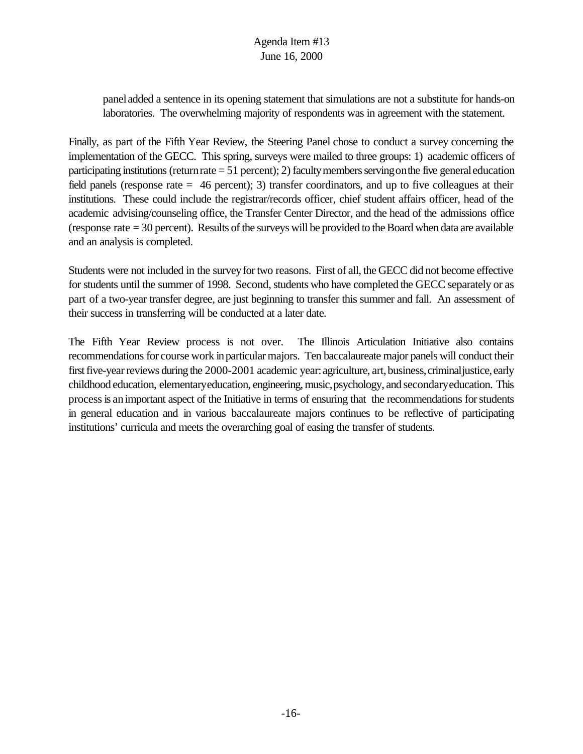panel added a sentence in its opening statement that simulations are not a substitute for hands-on laboratories. The overwhelming majority of respondents was in agreement with the statement.

Finally, as part of the Fifth Year Review, the Steering Panel chose to conduct a survey concerning the implementation of the GECC. This spring, surveys were mailed to three groups: 1) academic officers of participating institutions (return rate  $= 51$  percent); 2) faculty members serving on the five general education field panels (response rate = 46 percent); 3) transfer coordinators, and up to five colleagues at their institutions. These could include the registrar/records officer, chief student affairs officer, head of the academic advising/counseling office, the Transfer Center Director, and the head of the admissions office (response rate = 30 percent). Results of the surveys will be provided to the Board when data are available and an analysis is completed.

Students were not included in the survey for two reasons. First of all, the GECC did not become effective for students until the summer of 1998. Second, students who have completed the GECC separately or as part of a two-year transfer degree, are just beginning to transfer this summer and fall. An assessment of their success in transferring will be conducted at a later date.

The Fifth Year Review process is not over. The Illinois Articulation Initiative also contains recommendations for course work in particular majors. Ten baccalaureate major panels will conduct their first five-year reviews during the 2000-2001 academic year: agriculture, art, business, criminal justice, early childhood education, elementary education, engineering, music, psychology, and secondary education. This processis animportant aspect of the Initiative in terms of ensuring that the recommendations forstudents in general education and in various baccalaureate majors continues to be reflective of participating institutions' curricula and meets the overarching goal of easing the transfer of students.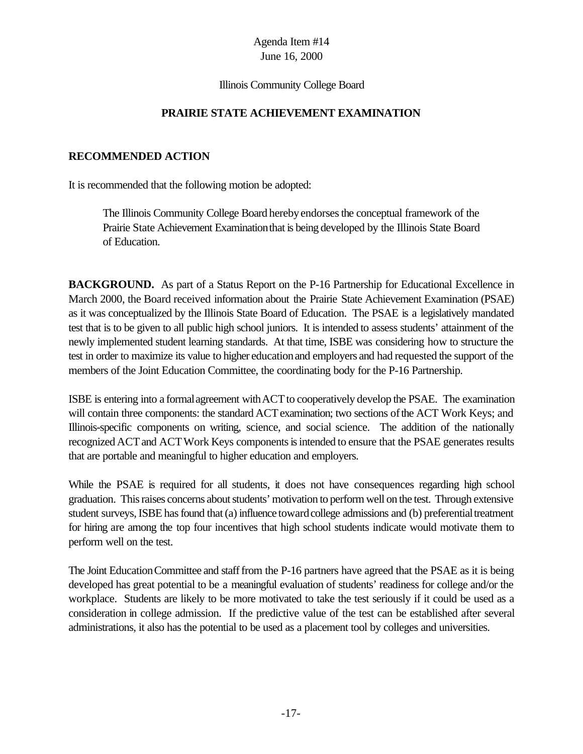#### Illinois Community College Board

#### **PRAIRIE STATE ACHIEVEMENT EXAMINATION**

#### **RECOMMENDED ACTION**

It is recommended that the following motion be adopted:

The Illinois Community College Board herebyendorsesthe conceptual framework of the Prairie State Achievement Examinationthat is being developed by the Illinois State Board of Education.

**BACKGROUND.** As part of a Status Report on the P-16 Partnership for Educational Excellence in March 2000, the Board received information about the Prairie State Achievement Examination (PSAE) as it was conceptualized by the Illinois State Board of Education. The PSAE is a legislatively mandated test that is to be given to all public high school juniors. It is intended to assess students' attainment of the newly implemented student learning standards. At that time, ISBE was considering how to structure the test in order to maximize its value to higher educationand employers and had requested the support of the members of the Joint Education Committee, the coordinating body for the P-16 Partnership.

ISBE is entering into a formal agreement with ACT to cooperatively develop the PSAE. The examination will contain three components: the standard ACT examination; two sections of the ACT Work Keys; and Illinois-specific components on writing, science, and social science. The addition of the nationally recognized ACT and ACT Work Keys components is intended to ensure that the PSAE generates results that are portable and meaningful to higher education and employers.

While the PSAE is required for all students, it does not have consequences regarding high school graduation. This raises concerns about students' motivation to perform well on the test. Through extensive student surveys, ISBE has found that (a) influence toward college admissions and (b) preferential treatment for hiring are among the top four incentives that high school students indicate would motivate them to perform well on the test.

The Joint Education Committee and staff from the P-16 partners have agreed that the PSAE as it is being developed has great potential to be a meaningful evaluation of students' readiness for college and/or the workplace. Students are likely to be more motivated to take the test seriously if it could be used as a consideration in college admission. If the predictive value of the test can be established after several administrations, it also has the potential to be used as a placement tool by colleges and universities.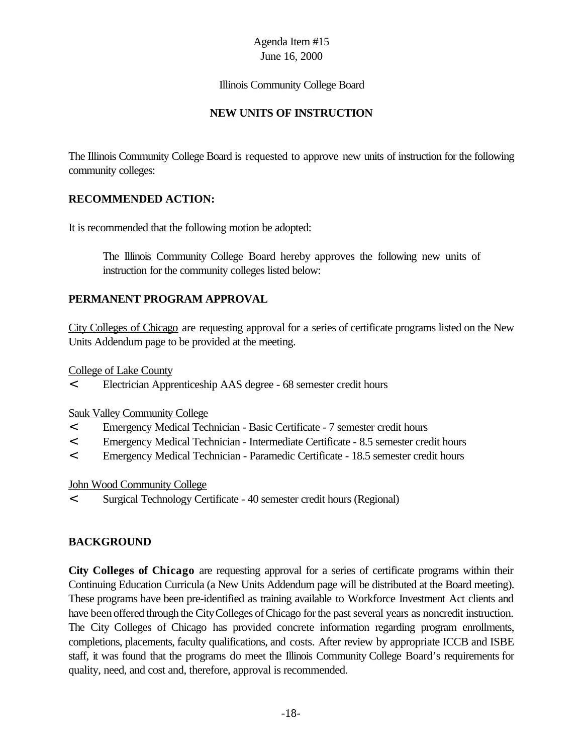#### Illinois Community College Board

## **NEW UNITS OF INSTRUCTION**

The Illinois Community College Board is requested to approve new units of instruction for the following community colleges:

## **RECOMMENDED ACTION:**

It is recommended that the following motion be adopted:

The Illinois Community College Board hereby approves the following new units of instruction for the community colleges listed below:

## **PERMANENT PROGRAM APPROVAL**

City Colleges of Chicago are requesting approval for a series of certificate programs listed on the New Units Addendum page to be provided at the meeting.

College of Lake County

< Electrician Apprenticeship AAS degree - 68 semester credit hours

Sauk Valley Community College

- < Emergency Medical Technician Basic Certificate 7 semester credit hours
- < Emergency Medical Technician Intermediate Certificate 8.5 semester credit hours
- < Emergency Medical Technician Paramedic Certificate 18.5 semester credit hours

#### John Wood Community College

< Surgical Technology Certificate - 40 semester credit hours (Regional)

## **BACKGROUND**

**City Colleges of Chicago** are requesting approval for a series of certificate programs within their Continuing Education Curricula (a New Units Addendum page will be distributed at the Board meeting). These programs have been pre-identified as training available to Workforce Investment Act clients and have been offered through the City Colleges of Chicago for the past several years as noncredit instruction. The City Colleges of Chicago has provided concrete information regarding program enrollments, completions, placements, faculty qualifications, and costs. After review by appropriate ICCB and ISBE staff, it was found that the programs do meet the Illinois Community College Board's requirements for quality, need, and cost and, therefore, approval is recommended.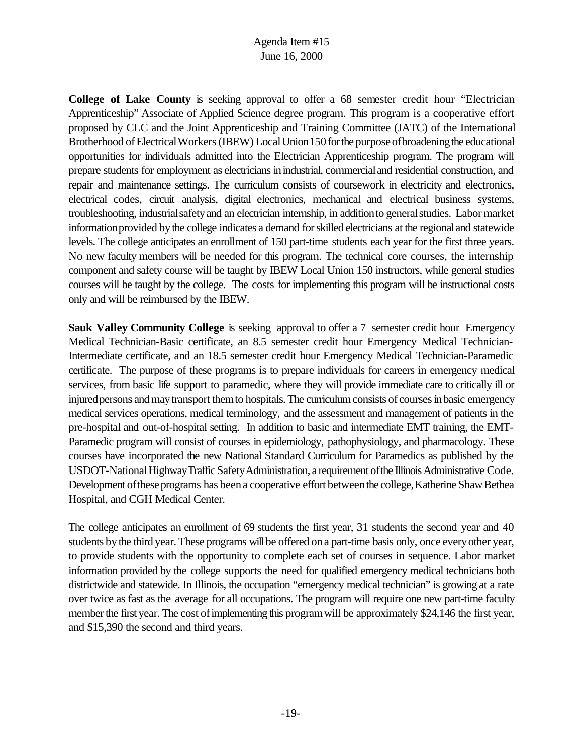**College of Lake County** is seeking approval to offer a 68 semester credit hour "Electrician Apprenticeship" Associate of Applied Science degree program. This program is a cooperative effort proposed by CLC and the Joint Apprenticeship and Training Committee (JATC) of the International Brotherhood of Electrical Workers (IBEW) Local Union 150 for the purpose of broadening the educational opportunities for individuals admitted into the Electrician Apprenticeship program. The program will prepare students for employment as electricians inindustrial, commercialand residential construction, and repair and maintenance settings. The curriculum consists of coursework in electricity and electronics, electrical codes, circuit analysis, digital electronics, mechanical and electrical business systems, troubleshooting, industrialsafetyand an electrician internship, in additionto generalstudies. Labor market informationprovided bythe college indicates a demand forskilled electricians at the regionaland statewide levels. The college anticipates an enrollment of 150 part-time students each year for the first three years. No new faculty members will be needed for this program. The technical core courses, the internship component and safety course will be taught by IBEW Local Union 150 instructors, while general studies courses will be taught by the college. The costs for implementing this program will be instructional costs only and will be reimbursed by the IBEW.

**Sauk Valley Community College** is seeking approval to offer a 7 semester credit hour Emergency Medical Technician-Basic certificate, an 8.5 semester credit hour Emergency Medical Technician-Intermediate certificate, and an 18.5 semester credit hour Emergency Medical Technician-Paramedic certificate. The purpose of these programs is to prepare individuals for careers in emergency medical services, from basic life support to paramedic, where they will provide immediate care to critically ill or injured persons and may transport them to hospitals. The curriculum consists of courses in basic emergency medical services operations, medical terminology, and the assessment and management of patients in the pre-hospital and out-of-hospital setting. In addition to basic and intermediate EMT training, the EMT-Paramedic program will consist of courses in epidemiology, pathophysiology, and pharmacology. These courses have incorporated the new National Standard Curriculum for Paramedics as published by the USDOT-National Highway Traffic Safety Administration, a requirement of the Illinois Administrative Code. Development of these programs has been a cooperative effort between the college, Katherine Shaw Bethea Hospital, and CGH Medical Center.

The college anticipates an enrollment of 69 students the first year, 31 students the second year and 40 students by the third year. These programs will be offered on a part-time basis only, once every other year, to provide students with the opportunity to complete each set of courses in sequence. Labor market information provided by the college supports the need for qualified emergency medical technicians both districtwide and statewide. In Illinois, the occupation "emergency medical technician" is growing at a rate over twice as fast as the average for all occupations. The program will require one new part-time faculty member the first year. The cost of implementing this program will be approximately \$24,146 the first year, and \$15,390 the second and third years.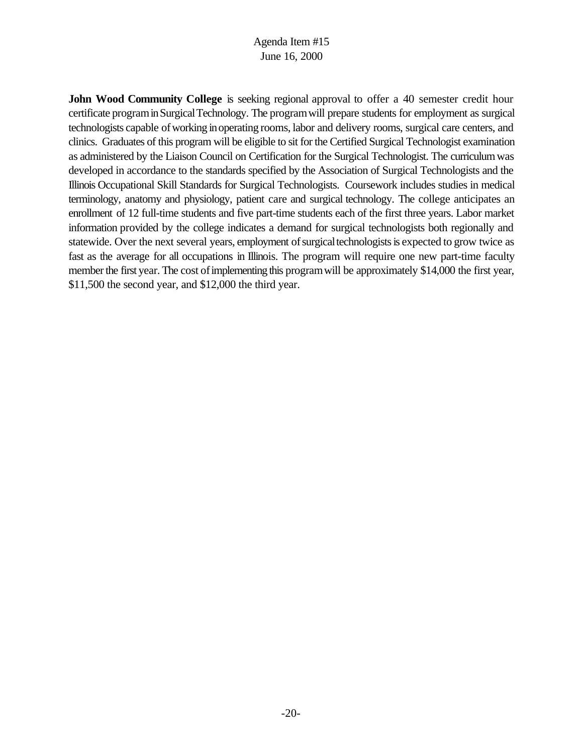**John Wood Community College** is seeking regional approval to offer a 40 semester credit hour certificate programinSurgicalTechnology. The programwill prepare students for employment as surgical technologists capable ofworking inoperating rooms, labor and delivery rooms, surgical care centers, and clinics. Graduates of this program will be eligible to sit for the Certified Surgical Technologist examination as administered by the Liaison Council on Certification for the Surgical Technologist. The curriculumwas developed in accordance to the standards specified by the Association of Surgical Technologists and the Illinois Occupational Skill Standards for Surgical Technologists. Coursework includes studies in medical terminology, anatomy and physiology, patient care and surgical technology. The college anticipates an enrollment of 12 full-time students and five part-time students each of the first three years. Labor market information provided by the college indicates a demand for surgical technologists both regionally and statewide. Over the next several years, employment of surgical technologists is expected to grow twice as fast as the average for all occupations in Illinois. The program will require one new part-time faculty member the first year. The cost of implementing this program will be approximately \$14,000 the first year, \$11,500 the second year, and \$12,000 the third year.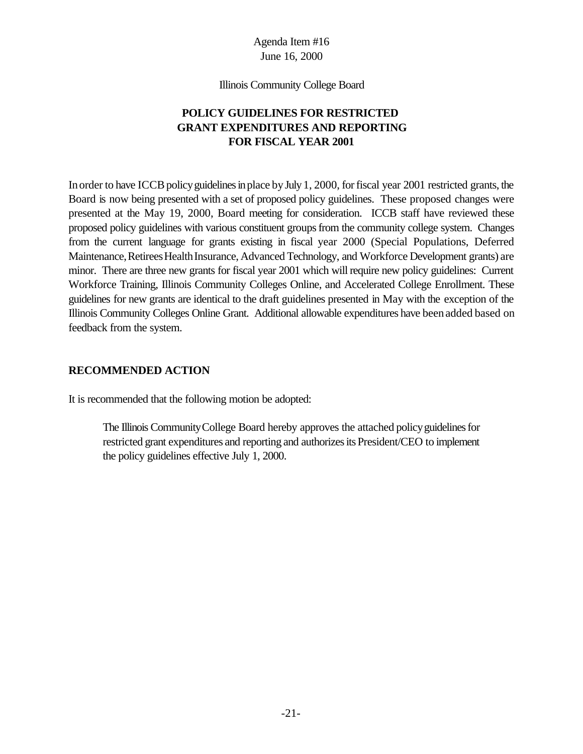Illinois Community College Board

## **POLICY GUIDELINES FOR RESTRICTED GRANT EXPENDITURES AND REPORTING FOR FISCAL YEAR 2001**

In order to have ICCB policy guidelines in place by July 1, 2000, for fiscal year 2001 restricted grants, the Board is now being presented with a set of proposed policy guidelines. These proposed changes were presented at the May 19, 2000, Board meeting for consideration. ICCB staff have reviewed these proposed policy guidelines with various constituent groupsfrom the community college system. Changes from the current language for grants existing in fiscal year 2000 (Special Populations, Deferred Maintenance, Retirees Health Insurance, Advanced Technology, and Workforce Development grants) are minor. There are three new grants for fiscal year 2001 which will require new policy guidelines: Current Workforce Training, Illinois Community Colleges Online, and Accelerated College Enrollment. These guidelines for new grants are identical to the draft guidelines presented in May with the exception of the Illinois Community Colleges Online Grant. Additional allowable expenditures have beenadded based on feedback from the system.

#### **RECOMMENDED ACTION**

It is recommended that the following motion be adopted:

The Illinois Community College Board hereby approves the attached policy guidelines for restricted grant expenditures and reporting and authorizesits President/CEO to implement the policy guidelines effective July 1, 2000.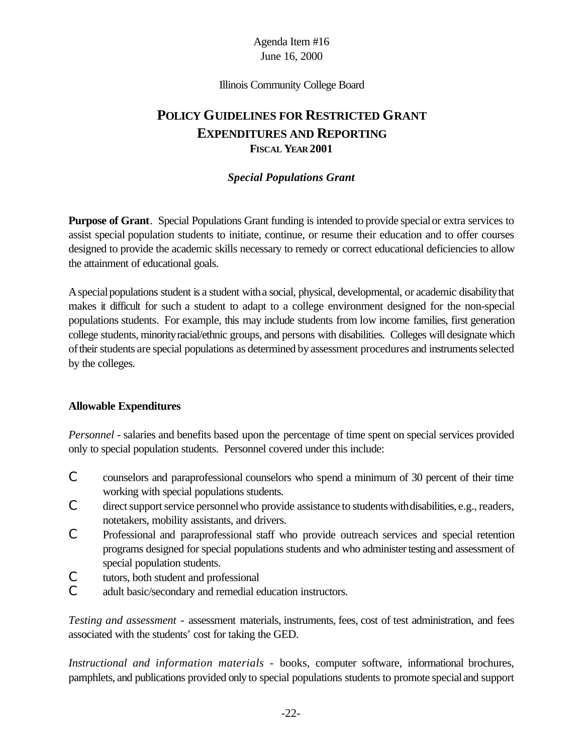Illinois Community College Board

# **POLICY GUIDELINES FOR RESTRICTED GRANT EXPENDITURES AND REPORTING FISCAL YEAR 2001**

#### *Special Populations Grant*

**Purpose of Grant**. Special Populations Grant funding is intended to provide specialor extra services to assist special population students to initiate, continue, or resume their education and to offer courses designed to provide the academic skills necessary to remedy or correct educational deficiencies to allow the attainment of educational goals.

A special populations student is a student with a social, physical, developmental, or academic disability that makes it difficult for such a student to adapt to a college environment designed for the non-special populations students. For example, this may include students from low income families, first generation college students, minorityracial/ethnic groups, and persons with disabilities. Colleges will designate which of their students are special populations as determined by assessment procedures and instruments selected by the colleges.

#### **Allowable Expenditures**

*Personnel* - salaries and benefits based upon the percentage of time spent on special services provided only to special population students. Personnel covered under this include:

- C counselors and paraprofessional counselors who spend a minimum of 30 percent of their time working with special populations students.
- C direct support service personnel who provide assistance to students with disabilities, e.g., readers, notetakers, mobility assistants, and drivers.
- C Professional and paraprofessional staff who provide outreach services and special retention programs designed for special populations students and who administer testing and assessment of special population students.
- C tutors, both student and professional
- C adult basic/secondary and remedial education instructors.

*Testing and assessment* - assessment materials, instruments, fees, cost of test administration, and fees associated with the students' cost for taking the GED.

*Instructional and information materials* - books, computer software, informational brochures, pamphlets, and publications provided only to special populations students to promote specialand support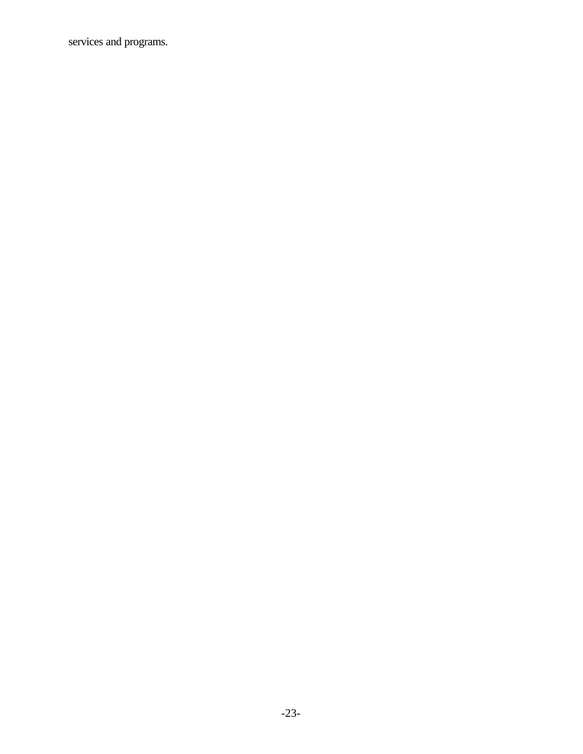services and programs.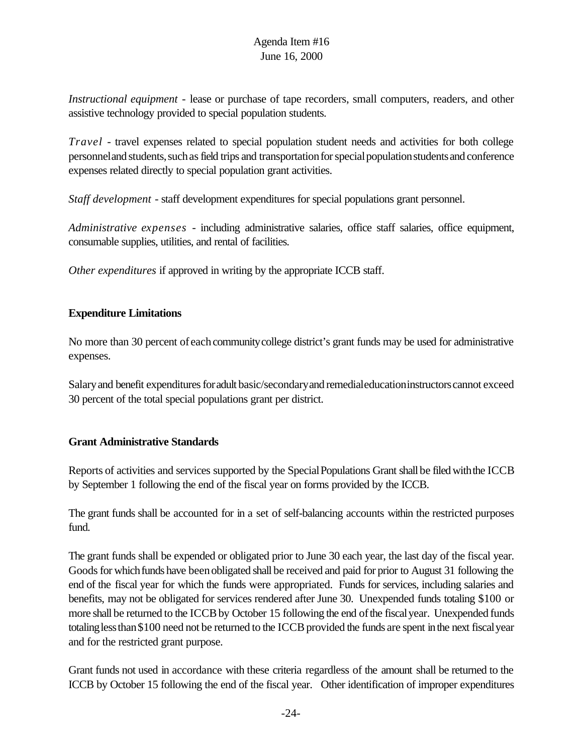*Instructional equipment* - lease or purchase of tape recorders, small computers, readers, and other assistive technology provided to special population students.

*Travel* - travel expenses related to special population student needs and activities for both college personnel and students, such as field trips and transportation for special population students and conference expenses related directly to special population grant activities.

*Staff development* - staff development expenditures for special populations grant personnel.

*Administrative expenses* - including administrative salaries, office staff salaries, office equipment, consumable supplies, utilities, and rental of facilities.

*Other expenditures* if approved in writing by the appropriate ICCB staff.

## **Expenditure Limitations**

No more than 30 percent of each community college district's grant funds may be used for administrative expenses.

Salary and benefit expenditures for adult basic/secondary and remedialeducation instructors cannot exceed 30 percent of the total special populations grant per district.

#### **Grant Administrative Standards**

Reports of activities and services supported by the Special Populations Grant shall be filed with the ICCB by September 1 following the end of the fiscal year on forms provided by the ICCB.

The grant funds shall be accounted for in a set of self-balancing accounts within the restricted purposes fund.

The grant funds shall be expended or obligated prior to June 30 each year, the last day of the fiscal year. Goods for which funds have been obligated shall be received and paid for prior to August 31 following the end of the fiscal year for which the funds were appropriated. Funds for services, including salaries and benefits, may not be obligated for services rendered after June 30. Unexpended funds totaling \$100 or more shall be returned to the ICCB by October 15 following the end of the fiscal year. Unexpended funds totaling less than \$100 need not be returned to the ICCB provided the funds are spent in the next fiscal year and for the restricted grant purpose.

Grant funds not used in accordance with these criteria regardless of the amount shall be returned to the ICCB by October 15 following the end of the fiscal year. Other identification of improper expenditures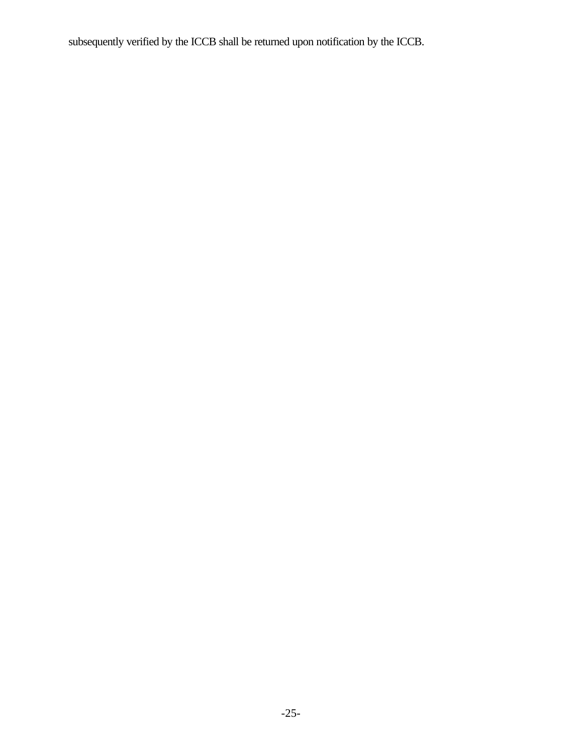subsequently verified by the ICCB shall be returned upon notification by the ICCB.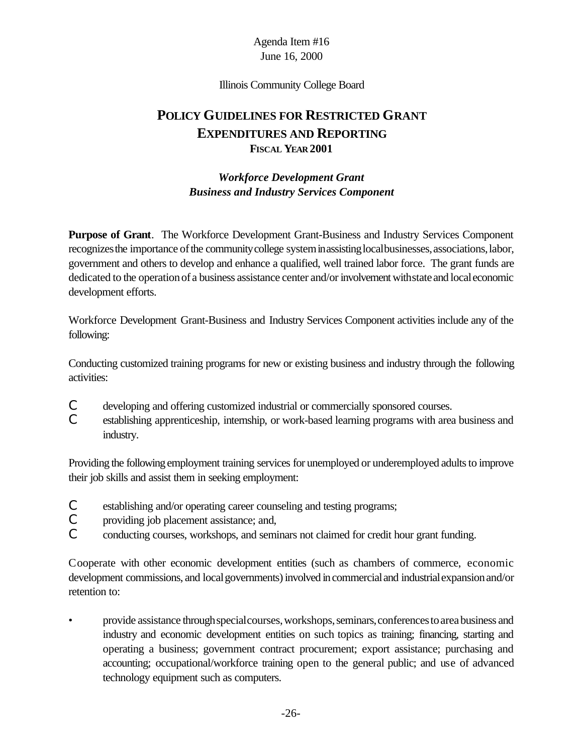Illinois Community College Board

# **POLICY GUIDELINES FOR RESTRICTED GRANT EXPENDITURES AND REPORTING FISCAL YEAR 2001**

## *Workforce Development Grant Business and Industry Services Component*

**Purpose of Grant**. The Workforce Development Grant-Business and Industry Services Component recognizes the importance of the community college system in assisting local businesses, associations, labor, government and others to develop and enhance a qualified, well trained labor force. The grant funds are dedicated to the operation of a business assistance center and/or involvement with state and local economic development efforts.

Workforce Development Grant-Business and Industry Services Component activities include any of the following:

Conducting customized training programs for new or existing business and industry through the following activities:

- C developing and offering customized industrial or commercially sponsored courses.
- C establishing apprenticeship, internship, or work-based learning programs with area business and industry.

Providing the following employment training services for unemployed or underemployed adults to improve their job skills and assist them in seeking employment:

- C establishing and/or operating career counseling and testing programs;
- C providing job placement assistance; and,
- C conducting courses, workshops, and seminars not claimed for credit hour grant funding.

Cooperate with other economic development entities (such as chambers of commerce, economic development commissions, and local governments) involved in commercial and industrial expansion and/or retention to:

• provide assistance throughspecialcourses,workshops,seminars,conferencestoareabusiness and industry and economic development entities on such topics as training; financing, starting and operating a business; government contract procurement; export assistance; purchasing and accounting; occupational/workforce training open to the general public; and use of advanced technology equipment such as computers.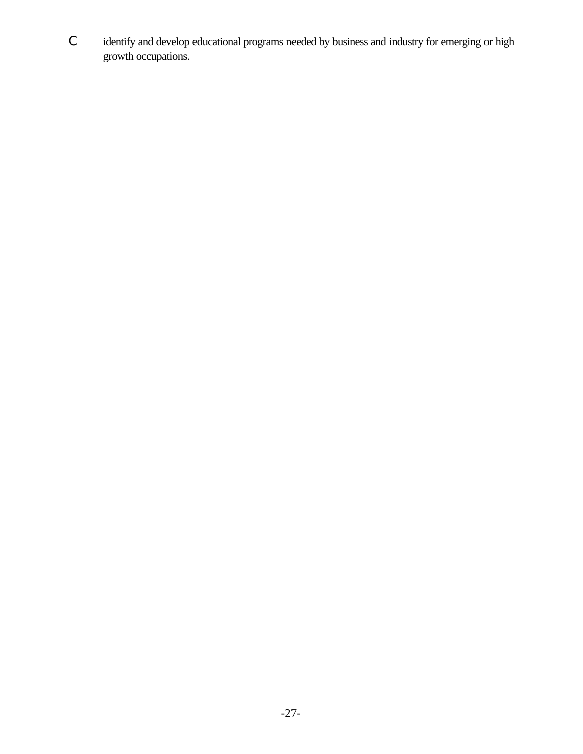C identify and develop educational programs needed by business and industry for emerging or high growth occupations.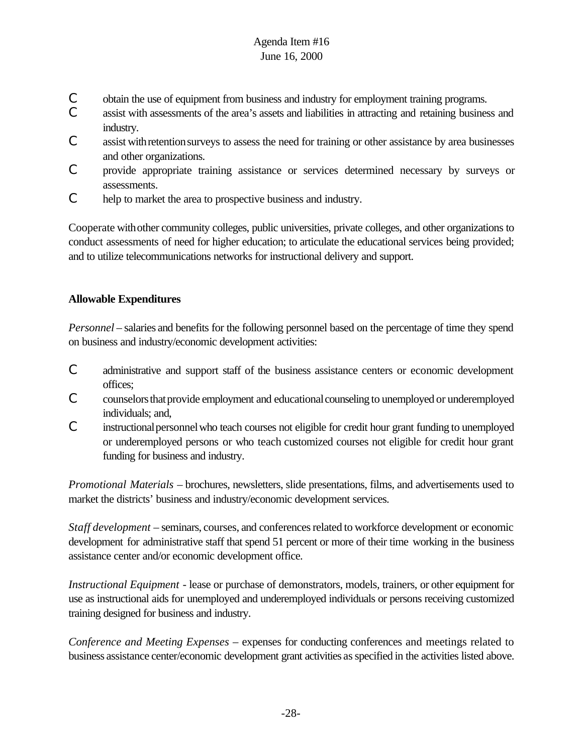- C obtain the use of equipment from business and industry for employment training programs.
- C assist with assessments of the area's assets and liabilities in attracting and retaining business and industry.
- C assist withretentionsurveys to assess the need for training or other assistance by area businesses and other organizations.
- C provide appropriate training assistance or services determined necessary by surveys or assessments.
- C help to market the area to prospective business and industry.

Cooperate withother community colleges, public universities, private colleges, and other organizations to conduct assessments of need for higher education; to articulate the educational services being provided; and to utilize telecommunications networks for instructional delivery and support.

## **Allowable Expenditures**

*Personnel* – salaries and benefits for the following personnel based on the percentage of time they spend on business and industry/economic development activities:

- C administrative and support staff of the business assistance centers or economic development offices;
- C counselors that provide employment and educational counseling to unemployed or underemployed individuals; and,
- C instructionalpersonnelwho teach courses not eligible for credit hour grant funding to unemployed or underemployed persons or who teach customized courses not eligible for credit hour grant funding for business and industry.

*Promotional Materials* – brochures, newsletters, slide presentations, films, and advertisements used to market the districts' business and industry/economic development services.

*Staff development* – seminars, courses, and conferencesrelated to workforce development or economic development for administrative staff that spend 51 percent or more of their time working in the business assistance center and/or economic development office.

*Instructional Equipment* - lease or purchase of demonstrators, models, trainers, or other equipment for use as instructional aids for unemployed and underemployed individuals or persons receiving customized training designed for business and industry.

*Conference and Meeting Expenses* – expenses for conducting conferences and meetings related to business assistance center/economic development grant activities asspecified in the activities listed above.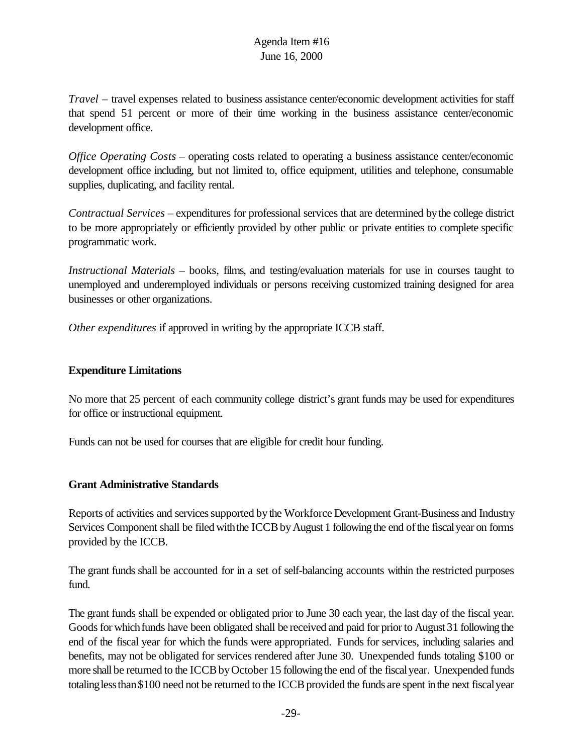*Travel* – travel expenses related to business assistance center/economic development activities for staff that spend 51 percent or more of their time working in the business assistance center/economic development office.

*Office Operating Costs* – operating costs related to operating a business assistance center/economic development office including, but not limited to, office equipment, utilities and telephone, consumable supplies, duplicating, and facility rental.

*Contractual Services* – expenditures for professional services that are determined bythe college district to be more appropriately or efficiently provided by other public or private entities to complete specific programmatic work.

*Instructional Materials* – books, films, and testing/evaluation materials for use in courses taught to unemployed and underemployed individuals or persons receiving customized training designed for area businesses or other organizations.

*Other expenditures* if approved in writing by the appropriate ICCB staff.

#### **Expenditure Limitations**

No more that 25 percent of each community college district's grant funds may be used for expenditures for office or instructional equipment.

Funds can not be used for courses that are eligible for credit hour funding.

#### **Grant Administrative Standards**

Reports of activities and services supported by the Workforce Development Grant-Business and Industry Services Component shall be filed with the ICCB by August 1 following the end of the fiscal year on forms provided by the ICCB.

The grant funds shall be accounted for in a set of self-balancing accounts within the restricted purposes fund.

The grant funds shall be expended or obligated prior to June 30 each year, the last day of the fiscal year. Goods for which funds have been obligated shall be received and paid for prior to August 31 following the end of the fiscal year for which the funds were appropriated. Funds for services, including salaries and benefits, may not be obligated for services rendered after June 30. Unexpended funds totaling \$100 or more shall be returned to the ICCB by October 15 following the end of the fiscal year. Unexpended funds totaling less than \$100 need not be returned to the ICCB provided the funds are spent in the next fiscal year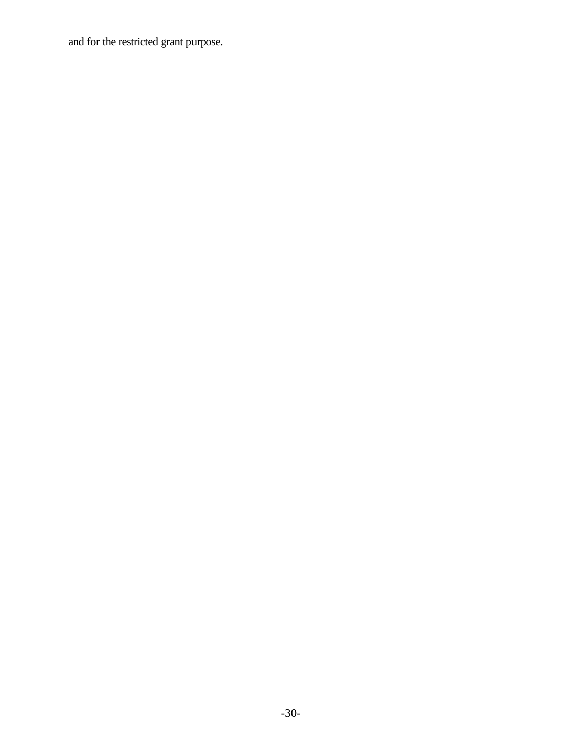and for the restricted grant purpose.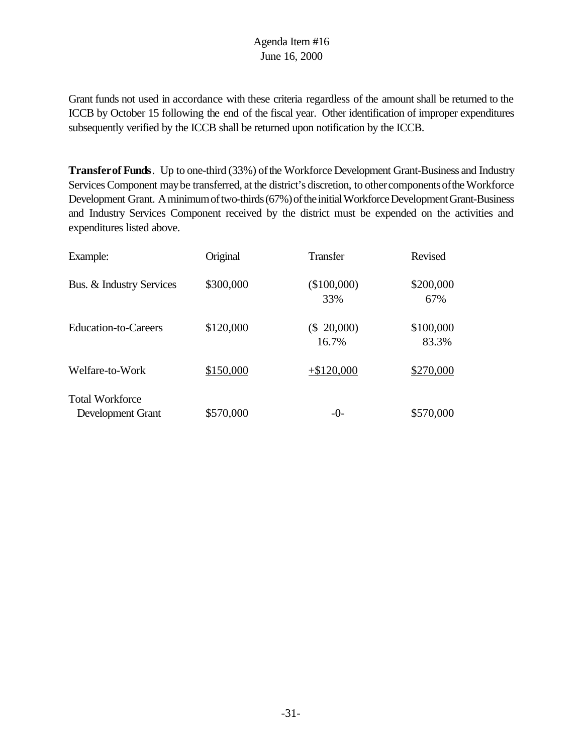Grant funds not used in accordance with these criteria regardless of the amount shall be returned to the ICCB by October 15 following the end of the fiscal year. Other identification of improper expenditures subsequently verified by the ICCB shall be returned upon notification by the ICCB.

**Transfer of Funds**. Up to one-third (33%) of the Workforce Development Grant-Business and Industry Services Component may be transferred, at the district's discretion, to other components of the Workforce Development Grant. A minimum of two-thirds (67%) of the initial Workforce Development Grant-Business and Industry Services Component received by the district must be expended on the activities and expenditures listed above.

| Example:                                    | Original  | <b>Transfer</b>      | <b>Revised</b>     |
|---------------------------------------------|-----------|----------------------|--------------------|
| Bus. & Industry Services                    | \$300,000 | $(\$100,000)$<br>33% | \$200,000<br>67%   |
| <b>Education-to-Careers</b>                 | \$120,000 | (\$ 20,000)<br>16.7% | \$100,000<br>83.3% |
| Welfare-to-Work                             | \$150,000 | $+ $120,000$         | \$270,000          |
| <b>Total Workforce</b><br>Development Grant | \$570,000 | $-0-$                | \$570,000          |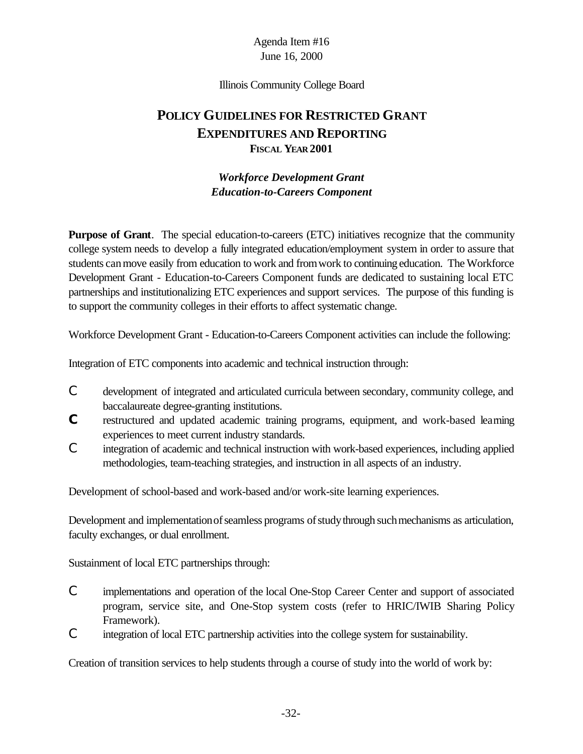#### Illinois Community College Board

# **POLICY GUIDELINES FOR RESTRICTED GRANT EXPENDITURES AND REPORTING FISCAL YEAR 2001**

#### *Workforce Development Grant Education-to-Careers Component*

**Purpose of Grant**. The special education-to-careers (ETC) initiatives recognize that the community college system needs to develop a fully integrated education/employment system in order to assure that students canmove easily from education to work and fromwork to continuing education. The Workforce Development Grant - Education-to-Careers Component funds are dedicated to sustaining local ETC partnerships and institutionalizing ETC experiences and support services. The purpose of this funding is to support the community colleges in their efforts to affect systematic change.

Workforce Development Grant - Education-to-Careers Component activities can include the following:

Integration of ETC components into academic and technical instruction through:

- C development of integrated and articulated curricula between secondary, community college, and baccalaureate degree-granting institutions.
- **C** restructured and updated academic training programs, equipment, and work-based learning experiences to meet current industry standards.
- C integration of academic and technical instruction with work-based experiences, including applied methodologies, team-teaching strategies, and instruction in all aspects of an industry.

Development of school-based and work-based and/or work-site learning experiences.

Development and implementation of seamless programs of study through such mechanisms as articulation, faculty exchanges, or dual enrollment.

Sustainment of local ETC partnerships through:

- C implementations and operation of the local One-Stop Career Center and support of associated program, service site, and One-Stop system costs (refer to HRIC/IWIB Sharing Policy Framework).
- C integration of local ETC partnership activities into the college system for sustainability.

Creation of transition services to help students through a course of study into the world of work by: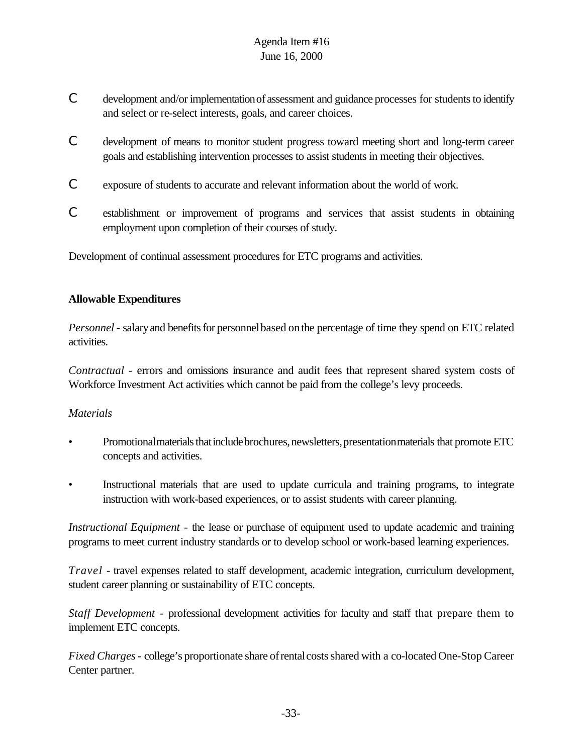- C development and/or implementation of assessment and guidance processes for students to identify and select or re-select interests, goals, and career choices.
- C development of means to monitor student progress toward meeting short and long-term career goals and establishing intervention processes to assist students in meeting their objectives.
- C exposure of students to accurate and relevant information about the world of work.
- C establishment or improvement of programs and services that assist students in obtaining employment upon completion of their courses of study.

Development of continual assessment procedures for ETC programs and activities.

## **Allowable Expenditures**

*Personnel* - salary and benefits for personnel based on the percentage of time they spend on ETC related activities.

*Contractual* - errors and omissions insurance and audit fees that represent shared system costs of Workforce Investment Act activities which cannot be paid from the college's levy proceeds.

#### *Materials*

- Promotional materials that include brochures, newsletters, presentation materials that promote ETC concepts and activities.
- Instructional materials that are used to update curricula and training programs, to integrate instruction with work-based experiences, or to assist students with career planning.

*Instructional Equipment* - the lease or purchase of equipment used to update academic and training programs to meet current industry standards or to develop school or work-based learning experiences.

*Travel* - travel expenses related to staff development, academic integration, curriculum development, student career planning or sustainability of ETC concepts.

*Staff Development* - professional development activities for faculty and staff that prepare them to implement ETC concepts.

*Fixed Charges*- college's proportionate share ofrentalcostsshared with a co-located One-Stop Career Center partner.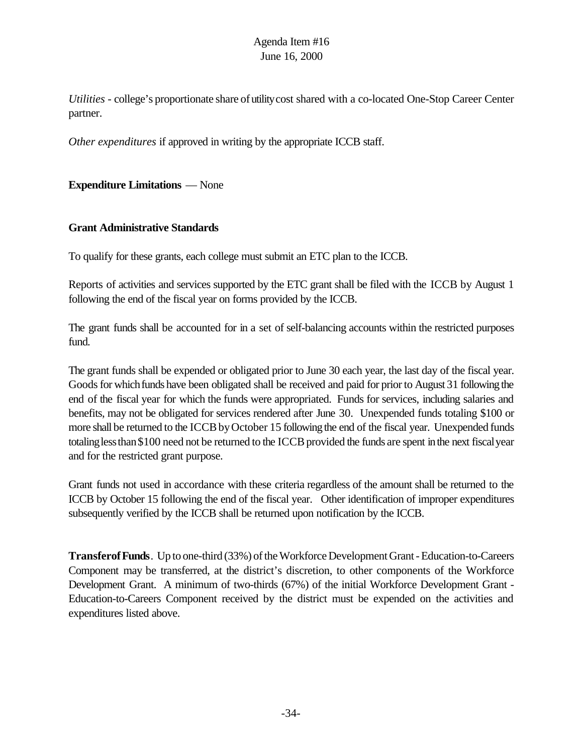*Utilities* - college's proportionate share of utility cost shared with a co-located One-Stop Career Center partner.

*Other expenditures* if approved in writing by the appropriate ICCB staff.

**Expenditure Limitations** — None

#### **Grant Administrative Standards**

To qualify for these grants, each college must submit an ETC plan to the ICCB.

Reports of activities and services supported by the ETC grant shall be filed with the ICCB by August 1 following the end of the fiscal year on forms provided by the ICCB.

The grant funds shall be accounted for in a set of self-balancing accounts within the restricted purposes fund.

The grant funds shall be expended or obligated prior to June 30 each year, the last day of the fiscal year. Goods for which funds have been obligated shall be received and paid for prior to August 31 following the end of the fiscal year for which the funds were appropriated. Funds for services, including salaries and benefits, may not be obligated for services rendered after June 30. Unexpended funds totaling \$100 or more shall be returned to the ICCB by October 15 following the end of the fiscal year. Unexpended funds totaling less than \$100 need not be returned to the ICCB provided the funds are spent in the next fiscal year and for the restricted grant purpose.

Grant funds not used in accordance with these criteria regardless of the amount shall be returned to the ICCB by October 15 following the end of the fiscal year. Other identification of improper expenditures subsequently verified by the ICCB shall be returned upon notification by the ICCB.

**TransferofFunds**. Up to one-third (33%) of the Workforce Development Grant - Education-to-Careers Component may be transferred, at the district's discretion, to other components of the Workforce Development Grant. A minimum of two-thirds (67%) of the initial Workforce Development Grant - Education-to-Careers Component received by the district must be expended on the activities and expenditures listed above.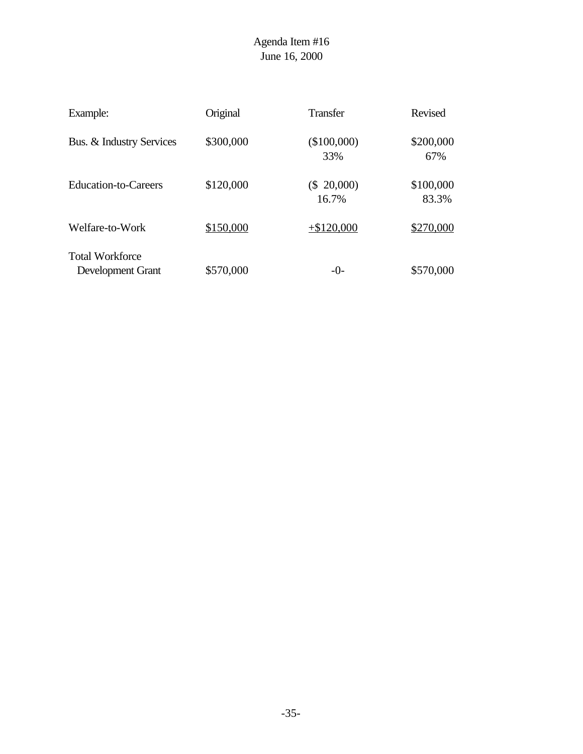| Example:                                    | Original  | <b>Transfer</b>        | Revised            |
|---------------------------------------------|-----------|------------------------|--------------------|
| Bus. & Industry Services                    | \$300,000 | (\$100,000)<br>33%     | \$200,000<br>67%   |
| Education-to-Careers                        | \$120,000 | $(\$ 20,000)$<br>16.7% | \$100,000<br>83.3% |
| Welfare-to-Work                             | \$150,000 | $+ $120,000$           | \$270,000          |
| <b>Total Workforce</b><br>Development Grant | \$570,000 | $-()$ -                | \$570,000          |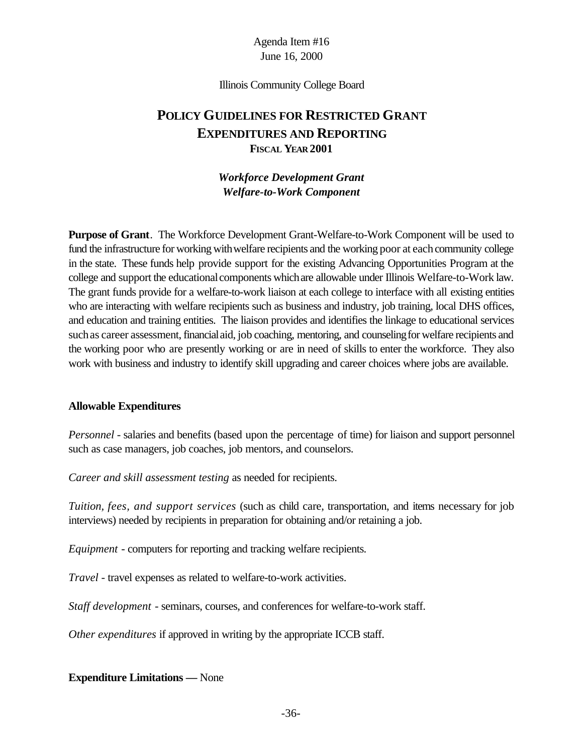#### Illinois Community College Board

# **POLICY GUIDELINES FOR RESTRICTED GRANT EXPENDITURES AND REPORTING FISCAL YEAR 2001**

#### *Workforce Development Grant Welfare-to-Work Component*

**Purpose of Grant**. The Workforce Development Grant-Welfare-to-Work Component will be used to fund the infrastructure for working with welfare recipients and the working poor at each community college in the state. These funds help provide support for the existing Advancing Opportunities Program at the college and support the educational components which are allowable under Illinois Welfare-to-Work law. The grant funds provide for a welfare-to-work liaison at each college to interface with all existing entities who are interacting with welfare recipients such as business and industry, job training, local DHS offices, and education and training entities. The liaison provides and identifies the linkage to educational services such as career assessment, financial aid, job coaching, mentoring, and counseling for welfare recipients and the working poor who are presently working or are in need of skills to enter the workforce. They also work with business and industry to identify skill upgrading and career choices where jobs are available.

#### **Allowable Expenditures**

*Personnel* - salaries and benefits (based upon the percentage of time) for liaison and support personnel such as case managers, job coaches, job mentors, and counselors.

*Career and skill assessment testing* as needed for recipients.

*Tuition, fees, and support services* (such as child care, transportation, and items necessary for job interviews) needed by recipients in preparation for obtaining and/or retaining a job.

*Equipment* - computers for reporting and tracking welfare recipients.

*Travel* - travel expenses as related to welfare-to-work activities.

*Staff development* - seminars, courses, and conferences for welfare-to-work staff.

*Other expenditures* if approved in writing by the appropriate ICCB staff.

#### **Expenditure Limitations —** None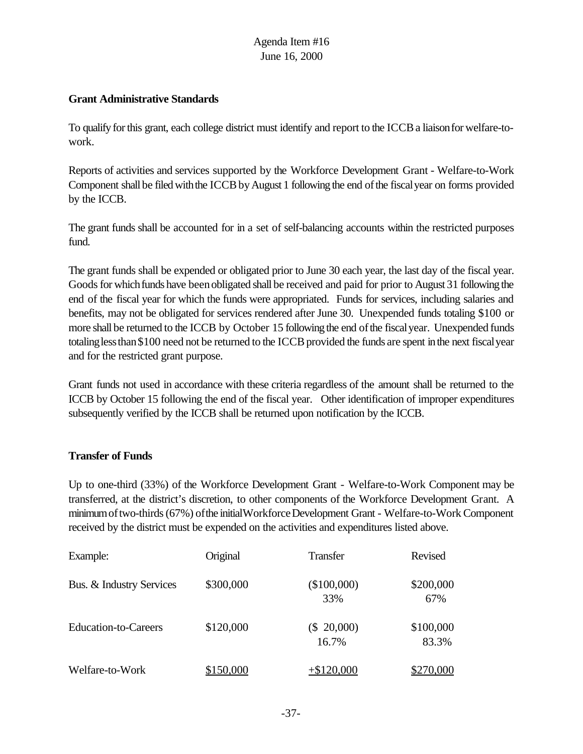#### **Grant Administrative Standards**

To qualify forthis grant, each college district must identify and report to the ICCBa liaisonfor welfare-towork.

Reports of activities and services supported by the Workforce Development Grant - Welfare-to-Work Component shall be filed with the ICCB by August 1 following the end of the fiscal year on forms provided by the ICCB.

The grant funds shall be accounted for in a set of self-balancing accounts within the restricted purposes fund.

The grant funds shall be expended or obligated prior to June 30 each year, the last day of the fiscal year. Goods for which funds have been obligated shall be received and paid for prior to August 31 following the end of the fiscal year for which the funds were appropriated. Funds for services, including salaries and benefits, may not be obligated for services rendered after June 30. Unexpended funds totaling \$100 or more shall be returned to the ICCB by October 15 following the end of the fiscal year. Unexpended funds totaling less than \$100 need not be returned to the ICCB provided the funds are spent in the next fiscal year and for the restricted grant purpose.

Grant funds not used in accordance with these criteria regardless of the amount shall be returned to the ICCB by October 15 following the end of the fiscal year. Other identification of improper expenditures subsequently verified by the ICCB shall be returned upon notification by the ICCB.

#### **Transfer of Funds**

Up to one-third (33%) of the Workforce Development Grant - Welfare-to-Work Component may be transferred, at the district's discretion, to other components of the Workforce Development Grant. A minimumoftwo-thirds(67%) ofthe initialWorkforceDevelopment Grant - Welfare-to-Work Component received by the district must be expended on the activities and expenditures listed above.

| Example:                    | Original  | Transfer               | Revised            |
|-----------------------------|-----------|------------------------|--------------------|
| Bus. & Industry Services    | \$300,000 | $(\$100,000)$<br>33%   | \$200,000<br>67%   |
| <b>Education-to-Careers</b> | \$120,000 | $(\$ 20,000)$<br>16.7% | \$100,000<br>83.3% |
| Welfare-to-Work             | \$150,000 | $+$ \$120,000          | \$270,000          |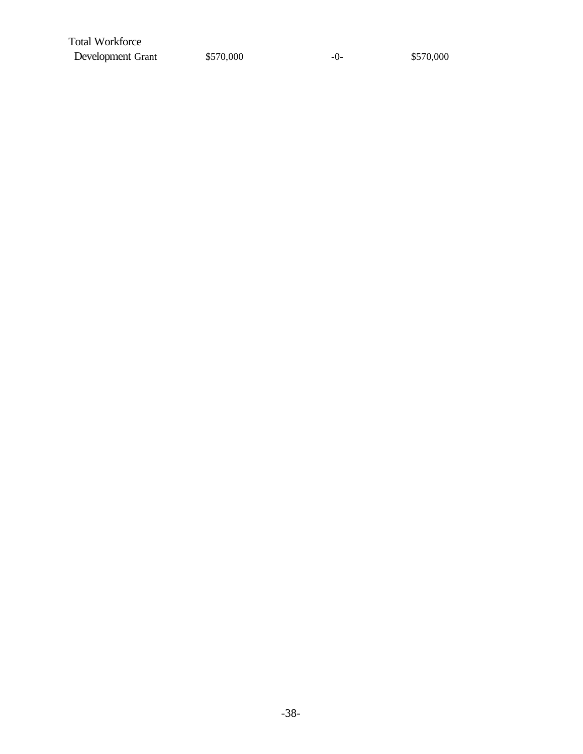Total Workforce Development Grant  $$570,000$  -0-  $$570,000$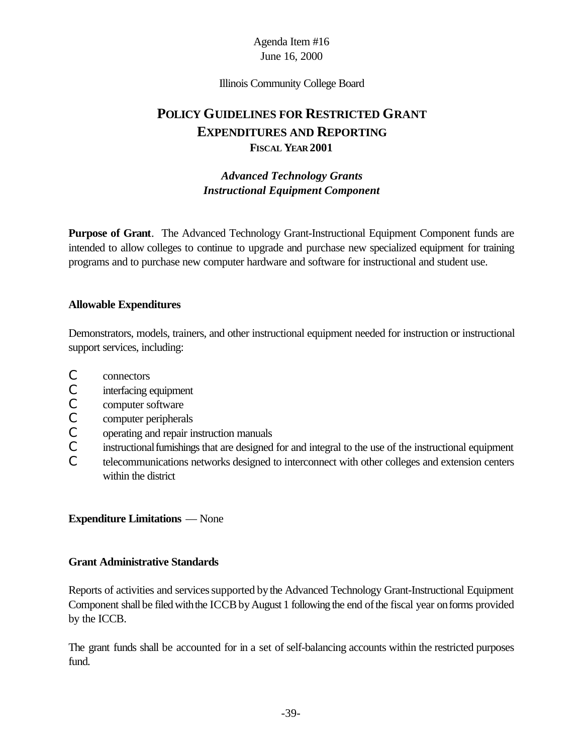#### Illinois Community College Board

# **POLICY GUIDELINES FOR RESTRICTED GRANT EXPENDITURES AND REPORTING FISCAL YEAR 2001**

## *Advanced Technology Grants Instructional Equipment Component*

**Purpose of Grant**. The Advanced Technology Grant-Instructional Equipment Component funds are intended to allow colleges to continue to upgrade and purchase new specialized equipment for training programs and to purchase new computer hardware and software for instructional and student use.

#### **Allowable Expenditures**

Demonstrators, models, trainers, and other instructional equipment needed for instruction or instructional support services, including:

- C connectors
- C interfacing equipment
- C computer software
- C computer peripherals
- C operating and repair instruction manuals
- C instructional furnishings that are designed for and integral to the use of the instructional equipment
- C telecommunications networks designed to interconnect with other colleges and extension centers within the district

#### **Expenditure Limitations** — None

#### **Grant Administrative Standards**

Reports of activities and services supported by the Advanced Technology Grant-Instructional Equipment Component shall be filed with the ICCB by August 1 following the end of the fiscal year on forms provided by the ICCB.

The grant funds shall be accounted for in a set of self-balancing accounts within the restricted purposes fund.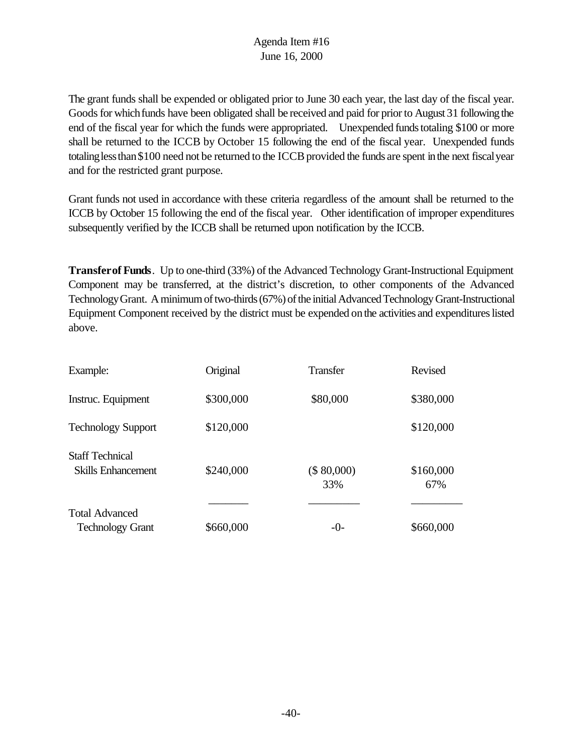The grant funds shall be expended or obligated prior to June 30 each year, the last day of the fiscal year. Goods for which funds have been obligated shall be received and paid for prior to August 31 following the end of the fiscal year for which the funds were appropriated. Unexpended funds totaling \$100 or more shall be returned to the ICCB by October 15 following the end of the fiscal year. Unexpended funds totaling less than \$100 need not be returned to the ICCB provided the funds are spent in the next fiscal year and for the restricted grant purpose.

Grant funds not used in accordance with these criteria regardless of the amount shall be returned to the ICCB by October 15 following the end of the fiscal year. Other identification of improper expenditures subsequently verified by the ICCB shall be returned upon notification by the ICCB.

**Transferof Funds**. Up to one-third (33%) of the Advanced Technology Grant-Instructional Equipment Component may be transferred, at the district's discretion, to other components of the Advanced TechnologyGrant. A minimum of two-thirds (67%) of the initial Advanced Technology Grant-Instructional Equipment Component received by the district must be expended on the activities and expenditures listed above.

| Example:                                            | Original  | <b>Transfer</b>    | Revised          |
|-----------------------------------------------------|-----------|--------------------|------------------|
| Instruc. Equipment                                  | \$300,000 | \$80,000           | \$380,000        |
| <b>Technology Support</b>                           | \$120,000 |                    | \$120,000        |
| <b>Staff Technical</b><br><b>Skills Enhancement</b> | \$240,000 | (\$ 80,000)<br>33% | \$160,000<br>67% |
| <b>Total Advanced</b>                               |           |                    |                  |
| <b>Technology Grant</b>                             | \$660,000 | $-0-$              | \$660,000        |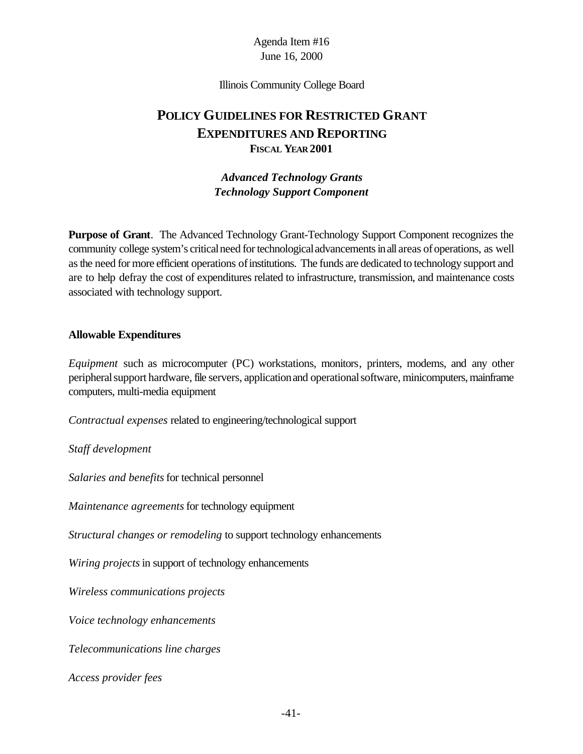Illinois Community College Board

# **POLICY GUIDELINES FOR RESTRICTED GRANT EXPENDITURES AND REPORTING FISCAL YEAR 2001**

### *Advanced Technology Grants Technology Support Component*

**Purpose of Grant**. The Advanced Technology Grant-Technology Support Component recognizes the community college system's critical need for technological advancements in all areas of operations, as well as the need for more efficient operations of institutions. The funds are dedicated to technology support and are to help defray the cost of expenditures related to infrastructure, transmission, and maintenance costs associated with technology support.

#### **Allowable Expenditures**

*Equipment* such as microcomputer (PC) workstations, monitors, printers, modems, and any other peripheral support hardware, file servers, application and operational software, minicomputers, mainframe computers, multi-media equipment

*Contractual expenses* related to engineering/technological support

*Staff development*

*Salaries and benefits* for technical personnel

*Maintenance agreements* for technology equipment

*Structural changes or remodeling* to support technology enhancements

*Wiring projects* in support of technology enhancements

*Wireless communications projects*

*Voice technology enhancements*

*Telecommunications line charges*

*Access provider fees*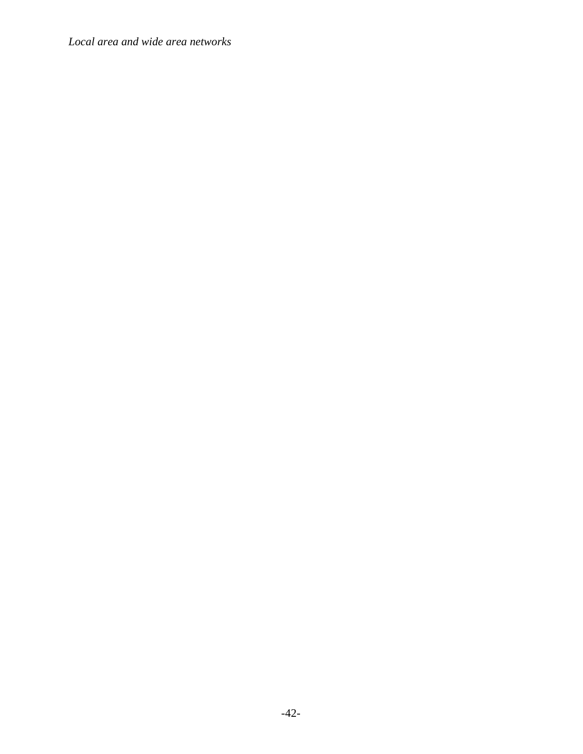*Local area and wide area networks*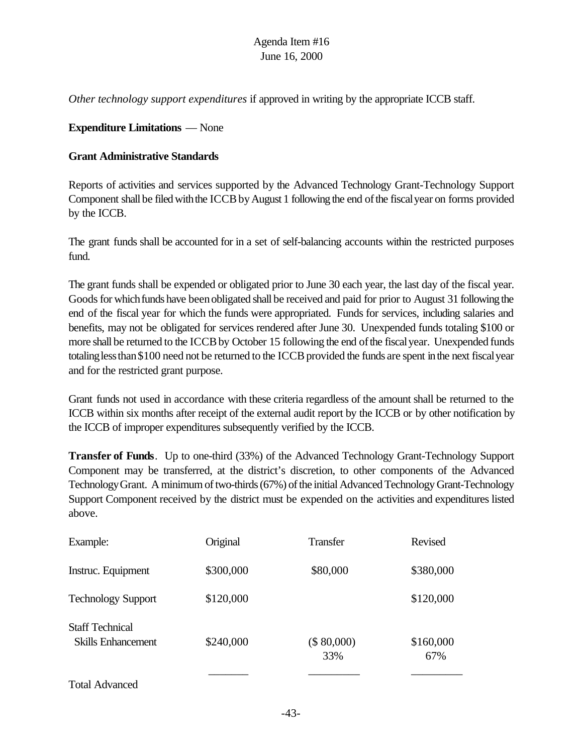*Other technology support expenditures* if approved in writing by the appropriate ICCB staff.

#### **Expenditure Limitations** — None

#### **Grant Administrative Standards**

Reports of activities and services supported by the Advanced Technology Grant-Technology Support Component shall be filed with the ICCB by August 1 following the end of the fiscal year on forms provided by the ICCB.

The grant funds shall be accounted for in a set of self-balancing accounts within the restricted purposes fund.

The grant funds shall be expended or obligated prior to June 30 each year, the last day of the fiscal year. Goods for which funds have been obligated shall be received and paid for prior to August 31 following the end of the fiscal year for which the funds were appropriated. Funds for services, including salaries and benefits, may not be obligated for services rendered after June 30. Unexpended funds totaling \$100 or more shall be returned to the ICCB by October 15 following the end of the fiscal year. Unexpended funds totaling less than \$100 need not be returned to the ICCB provided the funds are spent in the next fiscal year and for the restricted grant purpose.

Grant funds not used in accordance with these criteria regardless of the amount shall be returned to the ICCB within six months after receipt of the external audit report by the ICCB or by other notification by the ICCB of improper expenditures subsequently verified by the ICCB.

**Transfer of Funds**. Up to one-third (33%) of the Advanced Technology Grant-Technology Support Component may be transferred, at the district's discretion, to other components of the Advanced TechnologyGrant. A minimum of two-thirds (67%) of the initial Advanced Technology Grant-Technology Support Component received by the district must be expended on the activities and expenditures listed above.

| Example:                                     | Original  | Transfer           | Revised          |
|----------------------------------------------|-----------|--------------------|------------------|
| Instruc. Equipment                           | \$300,000 | \$80,000           | \$380,000        |
| <b>Technology Support</b>                    | \$120,000 |                    | \$120,000        |
| <b>Staff Technical</b><br>Skills Enhancement | \$240,000 | (\$ 80,000)<br>33% | \$160,000<br>67% |
|                                              |           |                    |                  |

Total Advanced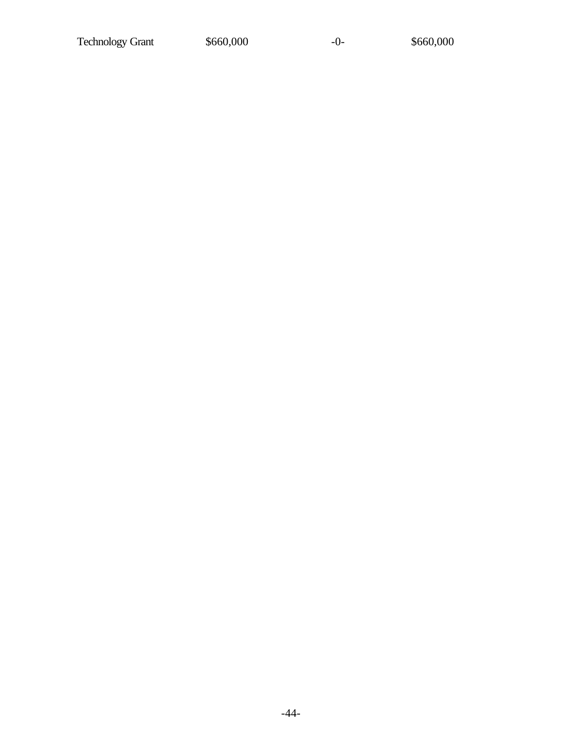Technology Grant  $$660,000$  -0- \$660,000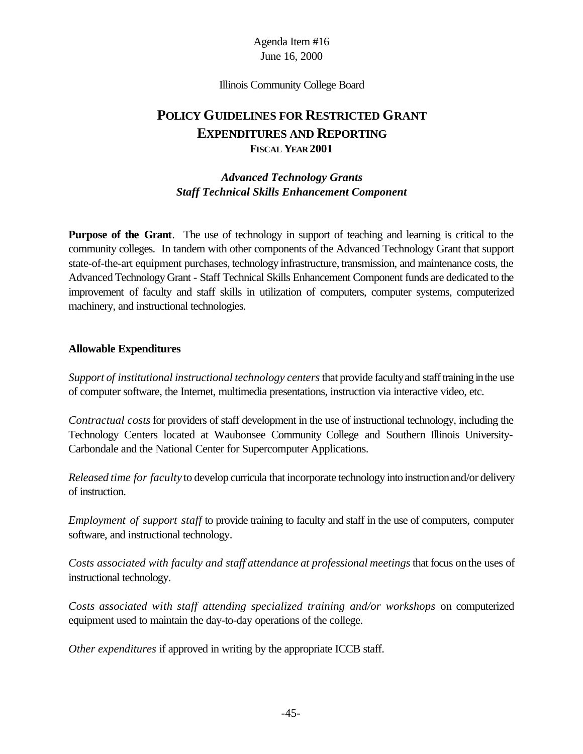Illinois Community College Board

# **POLICY GUIDELINES FOR RESTRICTED GRANT EXPENDITURES AND REPORTING FISCAL YEAR 2001**

### *Advanced Technology Grants Staff Technical Skills Enhancement Component*

**Purpose of the Grant**. The use of technology in support of teaching and learning is critical to the community colleges. In tandem with other components of the Advanced Technology Grant that support state-of-the-art equipment purchases, technology infrastructure, transmission, and maintenance costs, the Advanced Technology Grant - Staff Technical Skills Enhancement Component funds are dedicated to the improvement of faculty and staff skills in utilization of computers, computer systems, computerized machinery, and instructional technologies.

#### **Allowable Expenditures**

*Support of institutional instructional technology centers*that provide facultyand stafftraining inthe use of computer software, the Internet, multimedia presentations, instruction via interactive video, etc.

*Contractual costs* for providers of staff development in the use of instructional technology, including the Technology Centers located at Waubonsee Community College and Southern Illinois University-Carbondale and the National Center for Supercomputer Applications.

*Released time for faculty* to develop curricula that incorporate technology into instructionand/or delivery of instruction.

*Employment of support staff* to provide training to faculty and staff in the use of computers, computer software, and instructional technology.

*Costs associated with faculty and staff attendance at professional meetings that focus on the uses of* instructional technology.

*Costs associated with staff attending specialized training and/or workshops* on computerized equipment used to maintain the day-to-day operations of the college.

*Other expenditures* if approved in writing by the appropriate ICCB staff.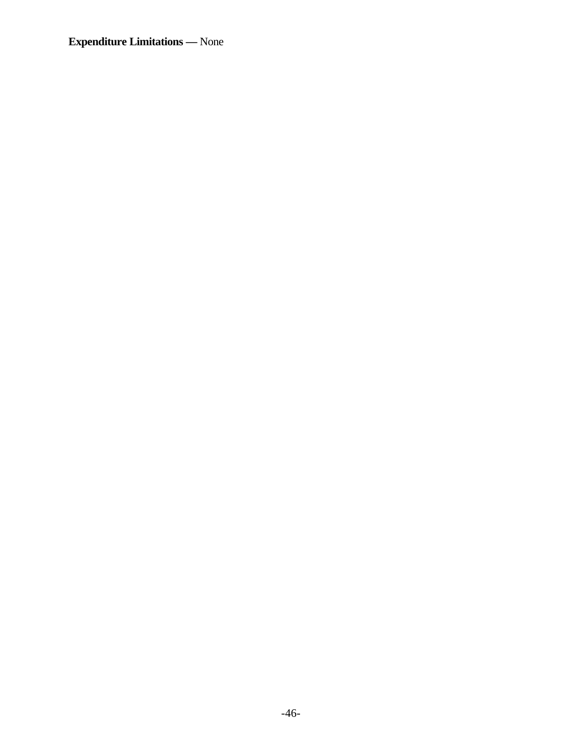**Expenditure Limitations —** None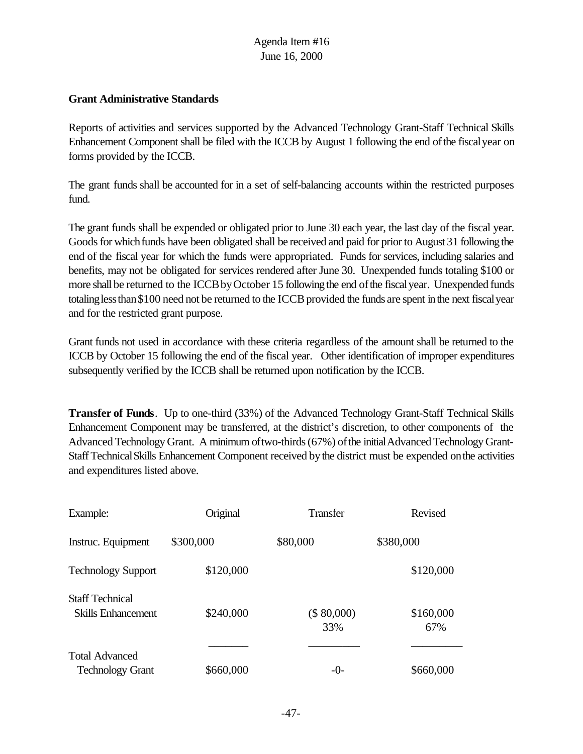#### **Grant Administrative Standards**

Reports of activities and services supported by the Advanced Technology Grant-Staff Technical Skills Enhancement Component shall be filed with the ICCB by August 1 following the end ofthe fiscalyear on forms provided by the ICCB.

The grant funds shall be accounted for in a set of self-balancing accounts within the restricted purposes fund.

The grant funds shall be expended or obligated prior to June 30 each year, the last day of the fiscal year. Goods for which funds have been obligated shall be received and paid for prior to August 31 following the end of the fiscal year for which the funds were appropriated. Funds for services, including salaries and benefits, may not be obligated for services rendered after June 30. Unexpended funds totaling \$100 or more shall be returned to the ICCB by October 15 following the end of the fiscal year. Unexpended funds totaling less than \$100 need not be returned to the ICCB provided the funds are spent in the next fiscal year and for the restricted grant purpose.

Grant funds not used in accordance with these criteria regardless of the amount shall be returned to the ICCB by October 15 following the end of the fiscal year. Other identification of improper expenditures subsequently verified by the ICCB shall be returned upon notification by the ICCB.

**Transfer of Funds**. Up to one-third (33%) of the Advanced Technology Grant-Staff Technical Skills Enhancement Component may be transferred, at the district's discretion, to other components of the Advanced Technology Grant. A minimum of two-thirds (67%) of the initial Advanced Technology Grant-StaffTechnicalSkills Enhancement Component received bythe district must be expended onthe activities and expenditures listed above.

| Example:                                     | Original  | <b>Transfer</b>    | Revised          |
|----------------------------------------------|-----------|--------------------|------------------|
| Instruc. Equipment                           | \$300,000 | \$80,000           | \$380,000        |
| <b>Technology Support</b>                    | \$120,000 |                    | \$120,000        |
| <b>Staff Technical</b><br>Skills Enhancement | \$240,000 | (\$ 80,000)<br>33% | \$160,000<br>67% |
| <b>Total Advanced</b>                        |           |                    |                  |
| <b>Technology Grant</b>                      | \$660,000 | $-()$ -            | \$660,000        |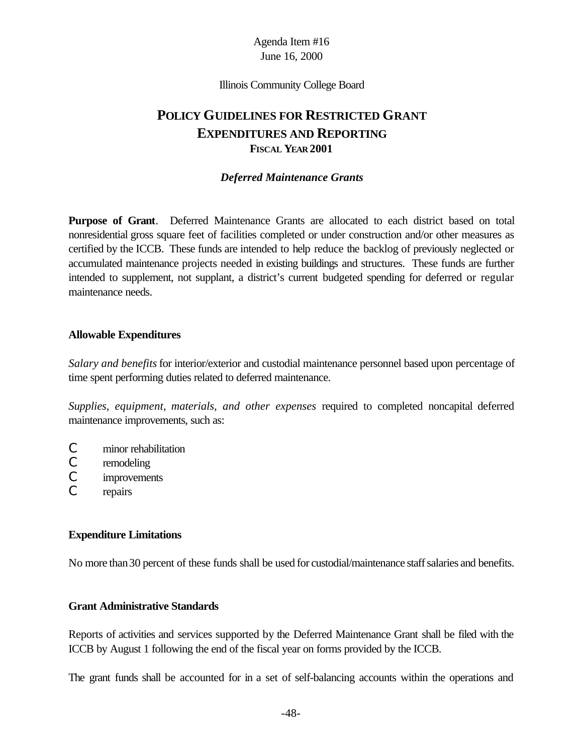Illinois Community College Board

# **POLICY GUIDELINES FOR RESTRICTED GRANT EXPENDITURES AND REPORTING FISCAL YEAR 2001**

#### *Deferred Maintenance Grants*

**Purpose of Grant**. Deferred Maintenance Grants are allocated to each district based on total nonresidential gross square feet of facilities completed or under construction and/or other measures as certified by the ICCB. These funds are intended to help reduce the backlog of previously neglected or accumulated maintenance projects needed in existing buildings and structures. These funds are further intended to supplement, not supplant, a district's current budgeted spending for deferred or regular maintenance needs.

#### **Allowable Expenditures**

*Salary and benefits* for interior/exterior and custodial maintenance personnel based upon percentage of time spent performing duties related to deferred maintenance.

*Supplies, equipment, materials, and other expenses* required to completed noncapital deferred maintenance improvements, such as:

- C minor rehabilitation
- C remodeling
- C improvements
- C repairs

#### **Expenditure Limitations**

No more than 30 percent of these funds shall be used for custodial/maintenance staff salaries and benefits.

#### **Grant Administrative Standards**

Reports of activities and services supported by the Deferred Maintenance Grant shall be filed with the ICCB by August 1 following the end of the fiscal year on forms provided by the ICCB.

The grant funds shall be accounted for in a set of self-balancing accounts within the operations and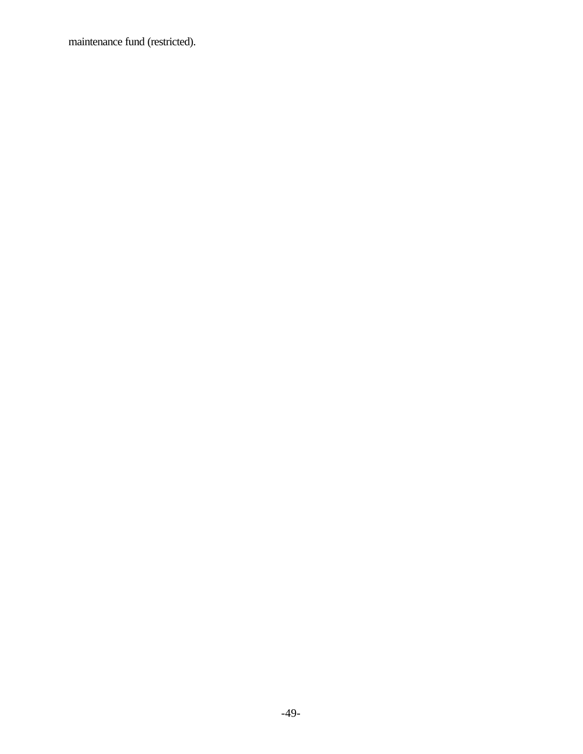maintenance fund (restricted).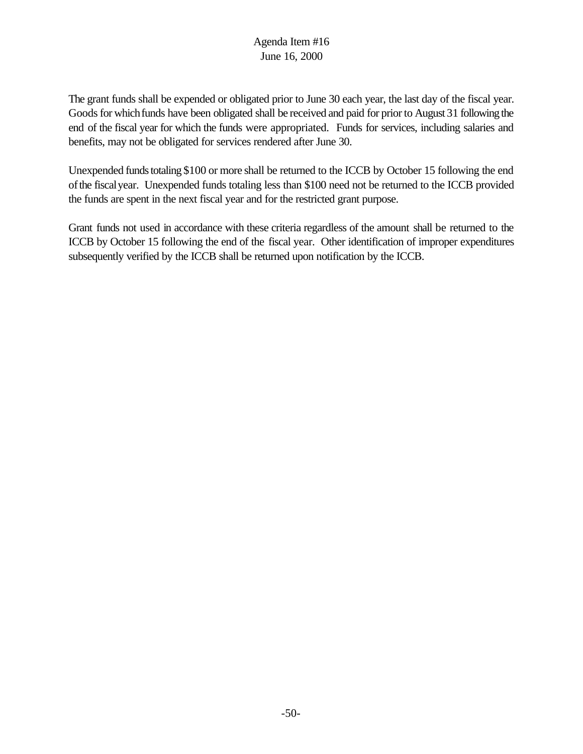The grant funds shall be expended or obligated prior to June 30 each year, the last day of the fiscal year. Goods for which funds have been obligated shall be received and paid for prior to August 31 following the end of the fiscal year for which the funds were appropriated. Funds for services, including salaries and benefits, may not be obligated for services rendered after June 30.

Unexpended funds totaling \$100 or more shall be returned to the ICCB by October 15 following the end ofthe fiscalyear. Unexpended funds totaling less than \$100 need not be returned to the ICCB provided the funds are spent in the next fiscal year and for the restricted grant purpose.

Grant funds not used in accordance with these criteria regardless of the amount shall be returned to the ICCB by October 15 following the end of the fiscal year. Other identification of improper expenditures subsequently verified by the ICCB shall be returned upon notification by the ICCB.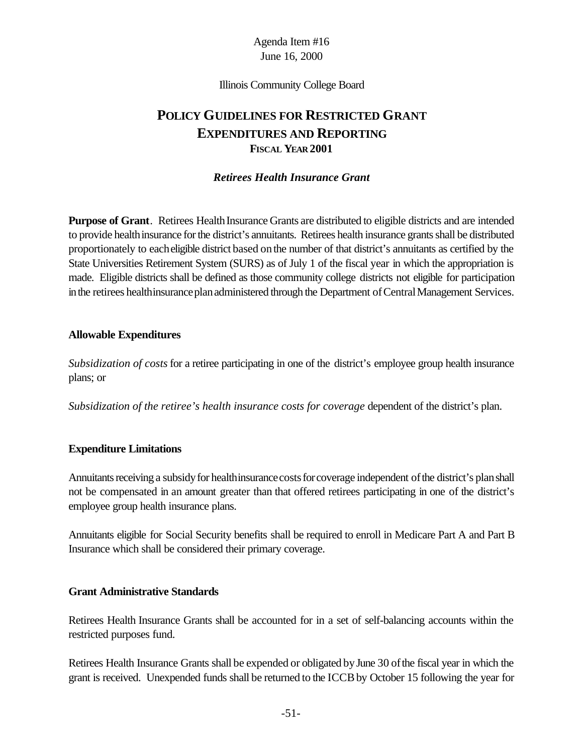Illinois Community College Board

# **POLICY GUIDELINES FOR RESTRICTED GRANT EXPENDITURES AND REPORTING FISCAL YEAR 2001**

#### *Retirees Health Insurance Grant*

**Purpose of Grant**. Retirees Health Insurance Grants are distributed to eligible districts and are intended to provide health insurance for the district's annuitants. Retirees health insurance grants shall be distributed proportionately to eacheligible district based onthe number of that district's annuitants as certified by the State Universities Retirement System (SURS) as of July 1 of the fiscal year in which the appropriation is made. Eligible districts shall be defined as those community college districts not eligible for participation in the retirees healthinsurance plan administered through the Department of Central Management Services.

#### **Allowable Expenditures**

*Subsidization of costs* for a retiree participating in one of the district's employee group health insurance plans; or

*Subsidization of the retiree's health insurance costs for coverage* dependent of the district's plan.

#### **Expenditure Limitations**

Annuitants receiving a subsidy for healthinsurance costs for coverage independent of the district's plan shall not be compensated in an amount greater than that offered retirees participating in one of the district's employee group health insurance plans.

Annuitants eligible for Social Security benefits shall be required to enroll in Medicare Part A and Part B Insurance which shall be considered their primary coverage.

#### **Grant Administrative Standards**

Retirees Health Insurance Grants shall be accounted for in a set of self-balancing accounts within the restricted purposes fund.

Retirees Health Insurance Grants shall be expended or obligated byJune 30 ofthe fiscal year in which the grant is received. Unexpended funds shall be returned to the ICCBby October 15 following the year for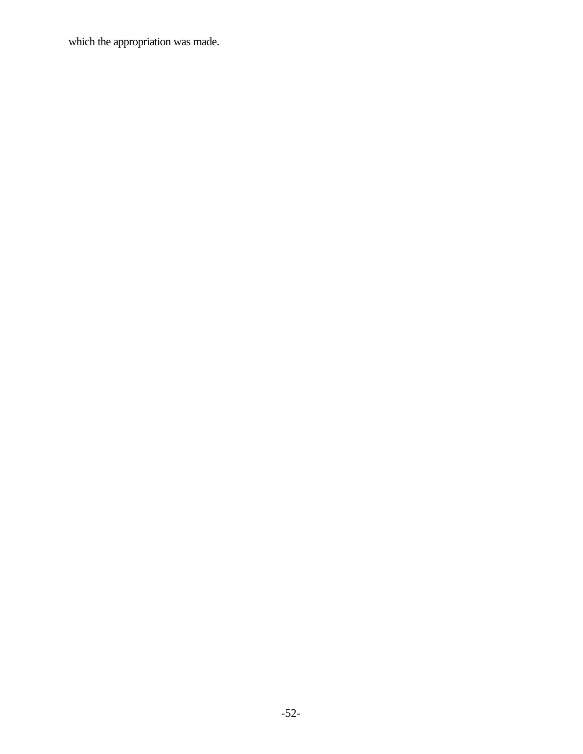which the appropriation was made.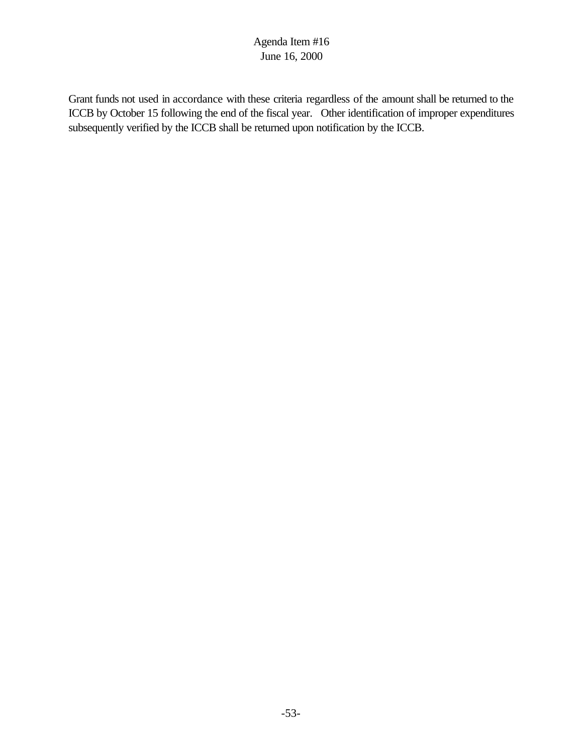Grant funds not used in accordance with these criteria regardless of the amount shall be returned to the ICCB by October 15 following the end of the fiscal year. Other identification of improper expenditures subsequently verified by the ICCB shall be returned upon notification by the ICCB.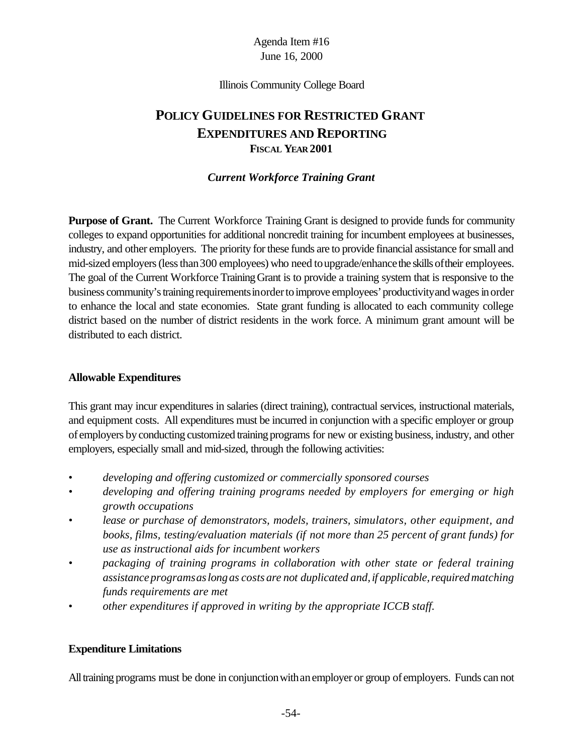Illinois Community College Board

# **POLICY GUIDELINES FOR RESTRICTED GRANT EXPENDITURES AND REPORTING FISCAL YEAR 2001**

#### *Current Workforce Training Grant*

**Purpose of Grant.** The Current Workforce Training Grant is designed to provide funds for community colleges to expand opportunities for additional noncredit training for incumbent employees at businesses, industry, and other employers. The priority for these funds are to provide financial assistance for small and mid-sized employers (less than 300 employees) who need to upgrade/enhance the skills of their employees. The goal of the Current Workforce Training Grant is to provide a training system that is responsive to the business community's training requirements in order to improve employees' productivity and wages in order to enhance the local and state economies. State grant funding is allocated to each community college district based on the number of district residents in the work force. A minimum grant amount will be distributed to each district.

#### **Allowable Expenditures**

This grant may incur expenditures in salaries (direct training), contractual services, instructional materials, and equipment costs. All expenditures must be incurred in conjunction with a specific employer or group of employers byconducting customized training programs for new or existing business, industry, and other employers, especially small and mid-sized, through the following activities:

- *developing and offering customized or commercially sponsored courses*
- *• developing and offering training programs needed by employers for emerging or high growth occupations*
- *• lease or purchase of demonstrators, models, trainers, simulators, other equipment, and books, films, testing/evaluation materials (if not more than 25 percent of grant funds) for use as instructional aids for incumbent workers*
- *• packaging of training programs in collaboration with other state or federal training assistanceprogramsaslongas costs are not duplicated and,if applicable,requiredmatching funds requirements are met*
- *other expenditures if approved in writing by the appropriate ICCB staff.*

#### **Expenditure Limitations**

All training programs must be done in conjunction with an employer or group of employers. Funds can not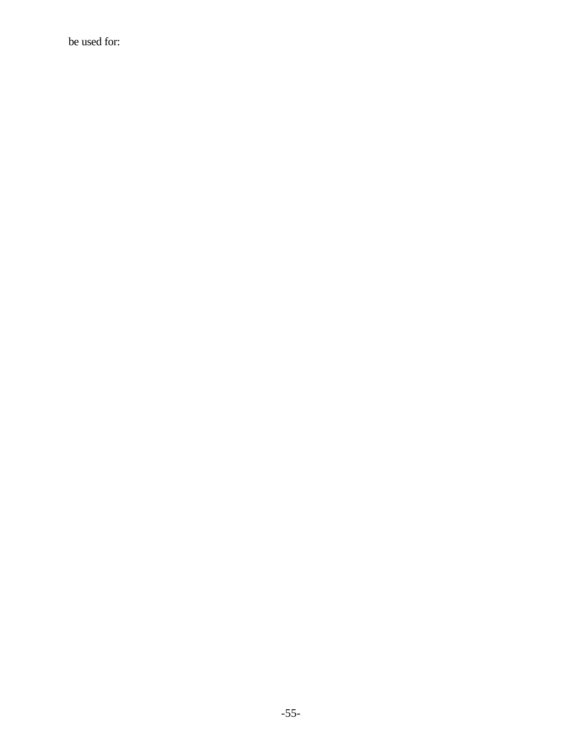be used for: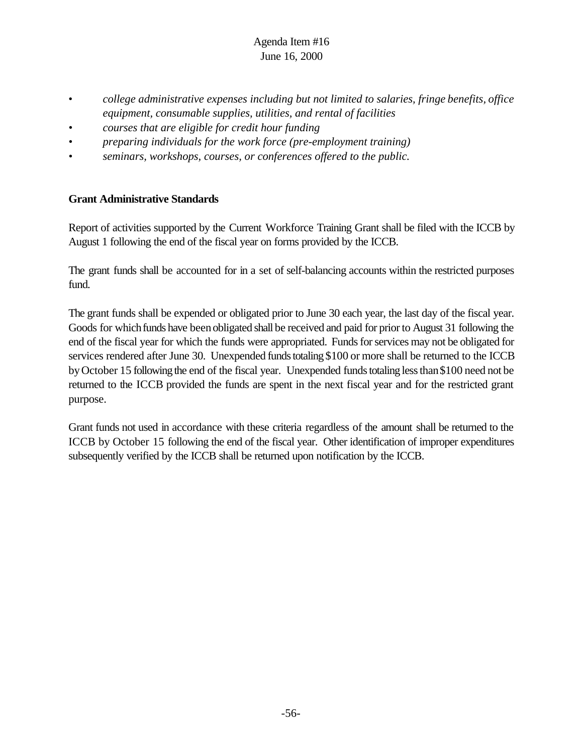- *college administrative expenses including but not limited to salaries, fringe benefits, office equipment, consumable supplies, utilities, and rental of facilities*
- *• courses that are eligible for credit hour funding*
- *• preparing individuals for the work force (pre-employment training)*
- *• seminars, workshops, courses, or conferences offered to the public.*

#### **Grant Administrative Standards**

Report of activities supported by the Current Workforce Training Grant shall be filed with the ICCB by August 1 following the end of the fiscal year on forms provided by the ICCB.

The grant funds shall be accounted for in a set of self-balancing accounts within the restricted purposes fund.

The grant funds shall be expended or obligated prior to June 30 each year, the last day of the fiscal year. Goods for which funds have been obligated shall be received and paid for prior to August 31 following the end of the fiscal year for which the funds were appropriated. Funds for services may not be obligated for services rendered after June 30. Unexpended funds totaling \$100 or more shall be returned to the ICCB by October 15 following the end of the fiscal year. Unexpended funds totaling less than \$100 need not be returned to the ICCB provided the funds are spent in the next fiscal year and for the restricted grant purpose.

Grant funds not used in accordance with these criteria regardless of the amount shall be returned to the ICCB by October 15 following the end of the fiscal year. Other identification of improper expenditures subsequently verified by the ICCB shall be returned upon notification by the ICCB.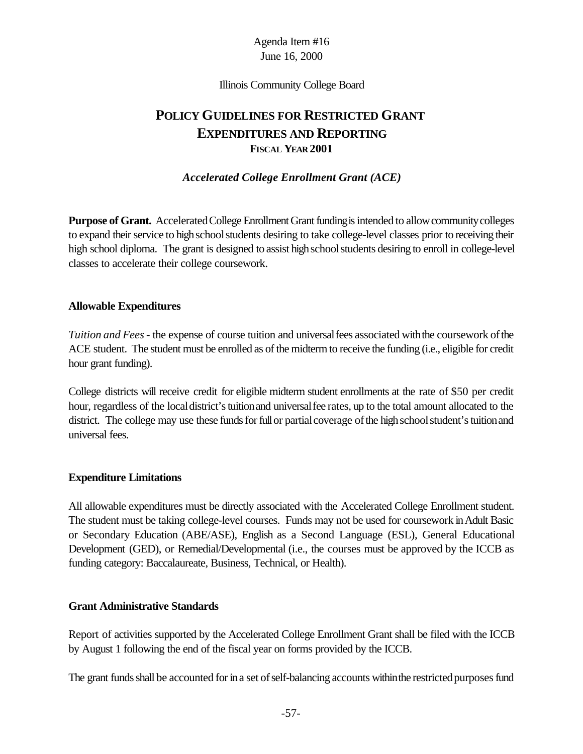Illinois Community College Board

# **POLICY GUIDELINES FOR RESTRICTED GRANT EXPENDITURES AND REPORTING FISCAL YEAR 2001**

*Accelerated College Enrollment Grant (ACE)*

**Purpose of Grant.** Accelerated College Enrollment Grant funding is intended to allow community colleges to expand their service to high school students desiring to take college-level classes prior to receiving their high school diploma. The grant is designed to assist high school students desiring to enroll in college-level classes to accelerate their college coursework.

#### **Allowable Expenditures**

*Tuition and Fees* - the expense of course tuition and universal fees associated with the coursework of the ACE student. The student must be enrolled as of the midterm to receive the funding (i.e., eligible for credit hour grant funding).

College districts will receive credit for eligible midterm student enrollments at the rate of \$50 per credit hour, regardless of the local district's tuition and universal fee rates, up to the total amount allocated to the district. The college may use these funds for full or partial coverage of the high school student's tuition and universal fees.

#### **Expenditure Limitations**

All allowable expenditures must be directly associated with the Accelerated College Enrollment student. The student must be taking college-level courses. Funds may not be used for coursework in Adult Basic or Secondary Education (ABE/ASE), English as a Second Language (ESL), General Educational Development (GED), or Remedial/Developmental (i.e., the courses must be approved by the ICCB as funding category: Baccalaureate, Business, Technical, or Health).

#### **Grant Administrative Standards**

Report of activities supported by the Accelerated College Enrollment Grant shall be filed with the ICCB by August 1 following the end of the fiscal year on forms provided by the ICCB.

The grant funds shall be accounted for in a set of self-balancing accounts within the restricted purposes fund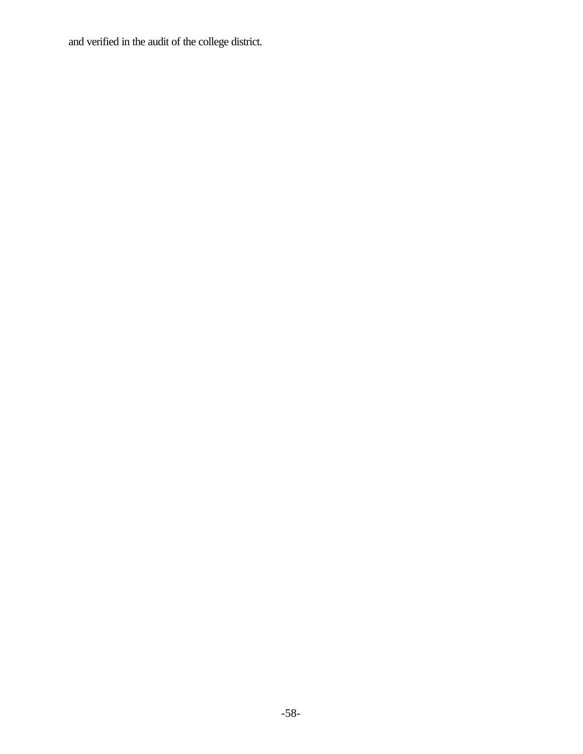and verified in the audit of the college district.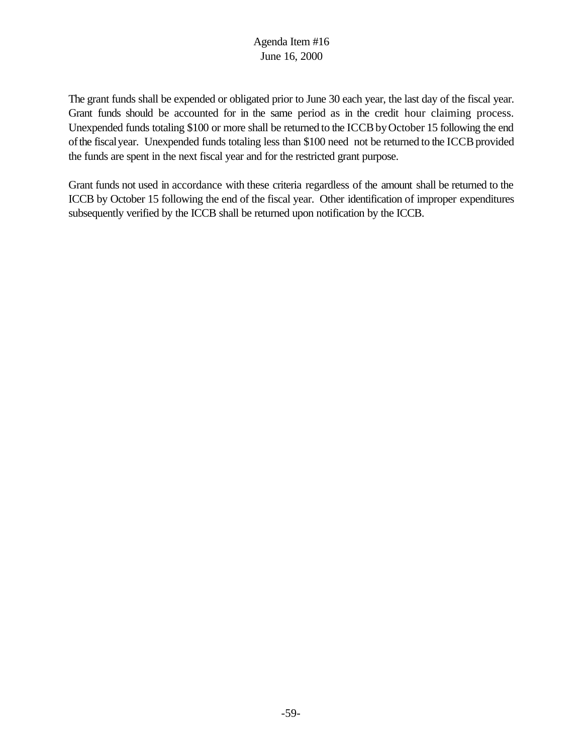The grant funds shall be expended or obligated prior to June 30 each year, the last day of the fiscal year. Grant funds should be accounted for in the same period as in the credit hour claiming process. Unexpended funds totaling \$100 or more shall be returned to the ICCB by October 15 following the end of the fiscal year. Unexpended funds totaling less than \$100 need not be returned to the ICCB provided the funds are spent in the next fiscal year and for the restricted grant purpose.

Grant funds not used in accordance with these criteria regardless of the amount shall be returned to the ICCB by October 15 following the end of the fiscal year. Other identification of improper expenditures subsequently verified by the ICCB shall be returned upon notification by the ICCB.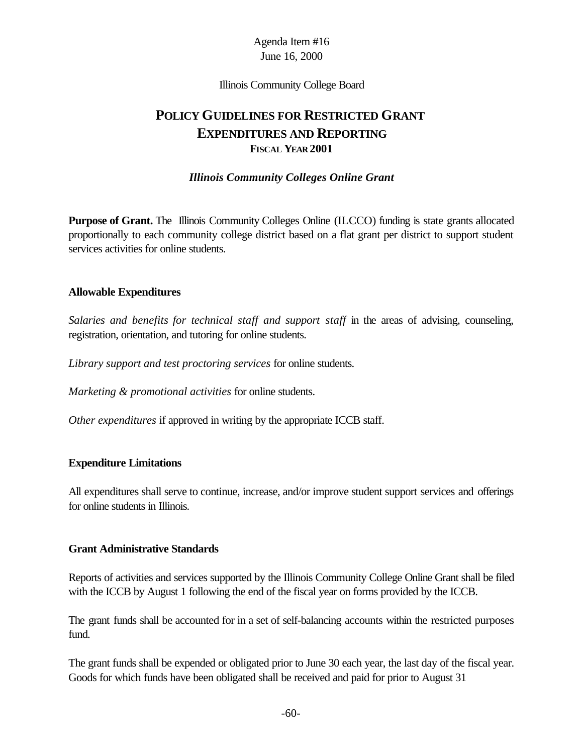Illinois Community College Board

# **POLICY GUIDELINES FOR RESTRICTED GRANT EXPENDITURES AND REPORTING FISCAL YEAR 2001**

#### *Illinois Community Colleges Online Grant*

**Purpose of Grant.** The Illinois Community Colleges Online (ILCCO) funding is state grants allocated proportionally to each community college district based on a flat grant per district to support student services activities for online students.

#### **Allowable Expenditures**

*Salaries and benefits for technical staff and support staff* in the areas of advising, counseling, registration, orientation, and tutoring for online students.

*Library support and test proctoring services* for online students.

*Marketing & promotional activities* for online students.

*Other expenditures* if approved in writing by the appropriate ICCB staff.

#### **Expenditure Limitations**

All expenditures shall serve to continue, increase, and/or improve student support services and offerings for online students in Illinois.

#### **Grant Administrative Standards**

Reports of activities and services supported by the Illinois Community College Online Grant shall be filed with the ICCB by August 1 following the end of the fiscal year on forms provided by the ICCB.

The grant funds shall be accounted for in a set of self-balancing accounts within the restricted purposes fund.

The grant funds shall be expended or obligated prior to June 30 each year, the last day of the fiscal year. Goods for which funds have been obligated shall be received and paid for prior to August 31